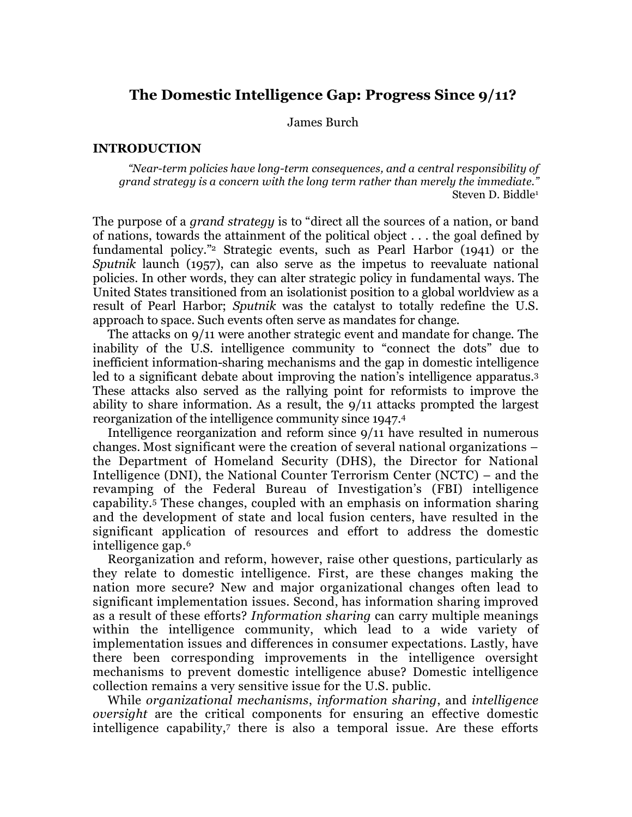# **The Domestic Intelligence Gap: Progress Since 9/11?**

James Burch

### **INTRODUCTION**

*"Near-term policies have long-term consequences, and a central responsibility of grand strategy is a concern with the long term rather than merely the immediate."* Steven D. Biddle1

The purpose of a *grand strategy* is to "direct all the sources of a nation, or band of nations, towards the attainment of the political object . . . the goal defined by fundamental policy."2 Strategic events, such as Pearl Harbor (1941) or the *Sputnik* launch (1957), can also serve as the impetus to reevaluate national policies. In other words, they can alter strategic policy in fundamental ways. The United States transitioned from an isolationist position to a global worldview as a result of Pearl Harbor; *Sputnik* was the catalyst to totally redefine the U.S. approach to space. Such events often serve as mandates for change.

The attacks on 9/11 were another strategic event and mandate for change. The inability of the U.S. intelligence community to "connect the dots" due to inefficient information-sharing mechanisms and the gap in domestic intelligence led to a significant debate about improving the nation's intelligence apparatus.3 These attacks also served as the rallying point for reformists to improve the ability to share information. As a result, the 9/11 attacks prompted the largest reorganization of the intelligence community since 1947.4

Intelligence reorganization and reform since 9/11 have resulted in numerous changes. Most significant were the creation of several national organizations – the Department of Homeland Security (DHS), the Director for National Intelligence (DNI), the National Counter Terrorism Center (NCTC) – and the revamping of the Federal Bureau of Investigation's (FBI) intelligence capability.5 These changes, coupled with an emphasis on information sharing and the development of state and local fusion centers, have resulted in the significant application of resources and effort to address the domestic intelligence gap.6

Reorganization and reform, however, raise other questions, particularly as they relate to domestic intelligence. First, are these changes making the nation more secure? New and major organizational changes often lead to significant implementation issues. Second, has information sharing improved as a result of these efforts? *Information sharing* can carry multiple meanings within the intelligence community, which lead to a wide variety of implementation issues and differences in consumer expectations. Lastly, have there been corresponding improvements in the intelligence oversight mechanisms to prevent domestic intelligence abuse? Domestic intelligence collection remains a very sensitive issue for the U.S. public.

While *organizational mechanisms*, *information sharing*, and *intelligence oversight* are the critical components for ensuring an effective domestic intelligence capability,<sup>7</sup> there is also a temporal issue. Are these efforts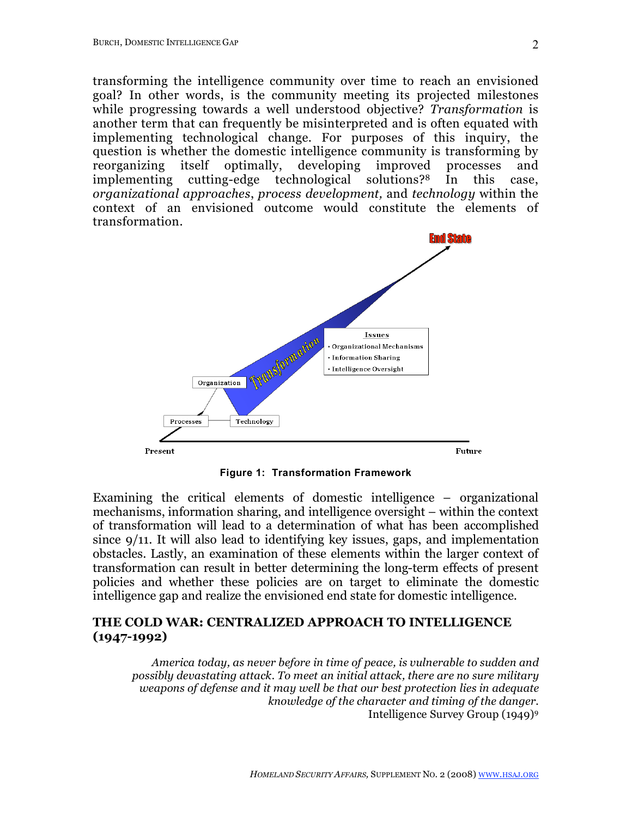transforming the intelligence community over time to reach an envisioned goal? In other words, is the community meeting its projected milestones while progressing towards a well understood objective? *Transformation* is another term that can frequently be misinterpreted and is often equated with implementing technological change. For purposes of this inquiry, the question is whether the domestic intelligence community is transforming by reorganizing itself optimally, developing improved processes and implementing cutting-edge technological solutions?8 In this case, *organizational approaches*, *process development,* and *technology* within the context of an envisioned outcome would constitute the elements of transformation.



**Figure 1: Transformation Framework**

Examining the critical elements of domestic intelligence – organizational mechanisms, information sharing, and intelligence oversight – within the context of transformation will lead to a determination of what has been accomplished since 9/11. It will also lead to identifying key issues, gaps, and implementation obstacles. Lastly, an examination of these elements within the larger context of transformation can result in better determining the long-term effects of present policies and whether these policies are on target to eliminate the domestic intelligence gap and realize the envisioned end state for domestic intelligence.

### **THE COLD WAR: CENTRALIZED APPROACH TO INTELLIGENCE (1947-1992)**

*America today, as never before in time of peace, is vulnerable to sudden and possibly devastating attack. To meet an initial attack, there are no sure military weapons of defense and it may well be that our best protection lies in adequate knowledge of the character and timing of the danger.* Intelligence Survey Group (1949)9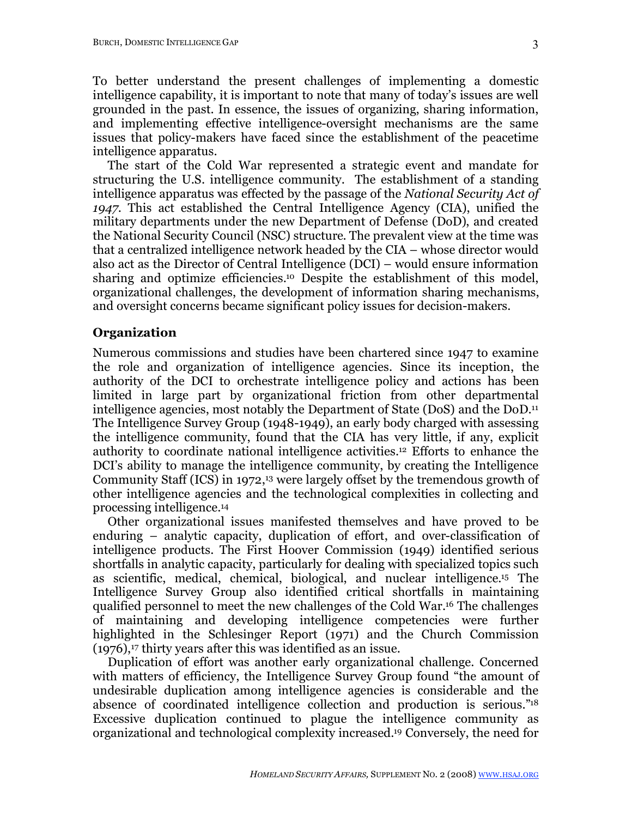To better understand the present challenges of implementing a domestic intelligence capability, it is important to note that many of today's issues are well grounded in the past. In essence, the issues of organizing, sharing information, and implementing effective intelligence-oversight mechanisms are the same issues that policy-makers have faced since the establishment of the peacetime intelligence apparatus.

The start of the Cold War represented a strategic event and mandate for structuring the U.S. intelligence community. The establishment of a standing intelligence apparatus was effected by the passage of the *National Security Act of 1947*. This act established the Central Intelligence Agency (CIA), unified the military departments under the new Department of Defense (DoD), and created the National Security Council (NSC) structure. The prevalent view at the time was that a centralized intelligence network headed by the CIA – whose director would also act as the Director of Central Intelligence (DCI) – would ensure information sharing and optimize efficiencies.10 Despite the establishment of this model, organizational challenges, the development of information sharing mechanisms, and oversight concerns became significant policy issues for decision-makers.

### **Organization**

Numerous commissions and studies have been chartered since 1947 to examine the role and organization of intelligence agencies. Since its inception, the authority of the DCI to orchestrate intelligence policy and actions has been limited in large part by organizational friction from other departmental intelligence agencies, most notably the Department of State (DoS) and the DoD.11 The Intelligence Survey Group (1948-1949), an early body charged with assessing the intelligence community, found that the CIA has very little, if any, explicit authority to coordinate national intelligence activities.12 Efforts to enhance the DCI's ability to manage the intelligence community, by creating the Intelligence Community Staff (ICS) in 1972,<sup>13</sup> were largely offset by the tremendous growth of other intelligence agencies and the technological complexities in collecting and processing intelligence.14

Other organizational issues manifested themselves and have proved to be enduring – analytic capacity, duplication of effort, and over-classification of intelligence products. The First Hoover Commission (1949) identified serious shortfalls in analytic capacity, particularly for dealing with specialized topics such as scientific, medical, chemical, biological, and nuclear intelligence.15 The Intelligence Survey Group also identified critical shortfalls in maintaining qualified personnel to meet the new challenges of the Cold War.16 The challenges of maintaining and developing intelligence competencies were further highlighted in the Schlesinger Report (1971) and the Church Commission  $(1976)$ ,<sup>17</sup> thirty years after this was identified as an issue.

Duplication of effort was another early organizational challenge. Concerned with matters of efficiency, the Intelligence Survey Group found "the amount of undesirable duplication among intelligence agencies is considerable and the absence of coordinated intelligence collection and production is serious."18 Excessive duplication continued to plague the intelligence community as organizational and technological complexity increased.19 Conversely, the need for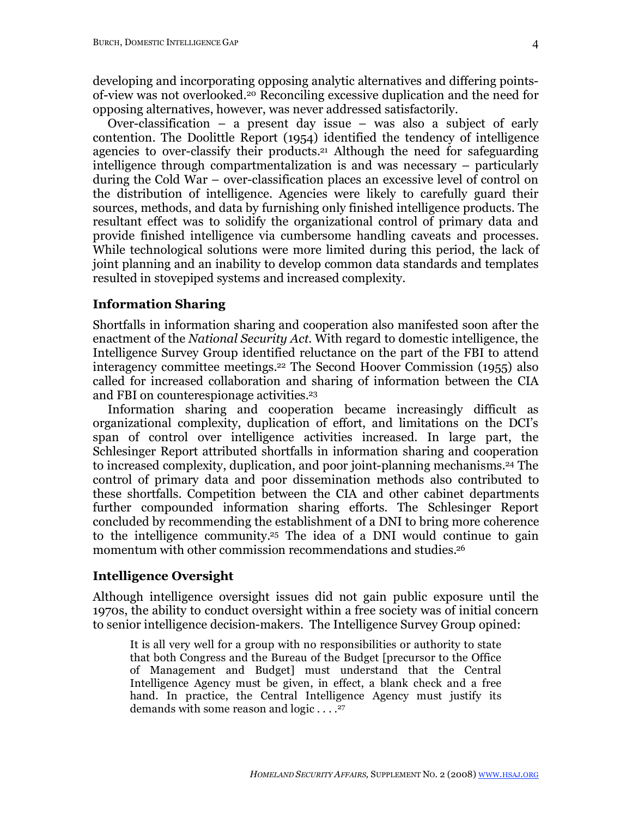developing and incorporating opposing analytic alternatives and differing pointsof-view was not overlooked.20 Reconciling excessive duplication and the need for opposing alternatives, however, was never addressed satisfactorily.

Over-classification – a present day issue – was also a subject of early contention. The Doolittle Report (1954) identified the tendency of intelligence agencies to over-classify their products.21 Although the need for safeguarding intelligence through compartmentalization is and was necessary – particularly during the Cold War – over-classification places an excessive level of control on the distribution of intelligence. Agencies were likely to carefully guard their sources, methods, and data by furnishing only finished intelligence products. The resultant effect was to solidify the organizational control of primary data and provide finished intelligence via cumbersome handling caveats and processes. While technological solutions were more limited during this period, the lack of joint planning and an inability to develop common data standards and templates resulted in stovepiped systems and increased complexity.

#### **Information Sharing**

Shortfalls in information sharing and cooperation also manifested soon after the enactment of the *National Security Act*. With regard to domestic intelligence, the Intelligence Survey Group identified reluctance on the part of the FBI to attend interagency committee meetings.22 The Second Hoover Commission (1955) also called for increased collaboration and sharing of information between the CIA and FBI on counterespionage activities.23

Information sharing and cooperation became increasingly difficult as organizational complexity, duplication of effort, and limitations on the DCI's span of control over intelligence activities increased. In large part, the Schlesinger Report attributed shortfalls in information sharing and cooperation to increased complexity, duplication, and poor joint-planning mechanisms.24 The control of primary data and poor dissemination methods also contributed to these shortfalls. Competition between the CIA and other cabinet departments further compounded information sharing efforts. The Schlesinger Report concluded by recommending the establishment of a DNI to bring more coherence to the intelligence community.25 The idea of a DNI would continue to gain momentum with other commission recommendations and studies.<sup>26</sup>

### **Intelligence Oversight**

Although intelligence oversight issues did not gain public exposure until the 1970s, the ability to conduct oversight within a free society was of initial concern to senior intelligence decision-makers. The Intelligence Survey Group opined:

It is all very well for a group with no responsibilities or authority to state that both Congress and the Bureau of the Budget [precursor to the Office of Management and Budget] must understand that the Central Intelligence Agency must be given, in effect, a blank check and a free hand. In practice, the Central Intelligence Agency must justify its demands with some reason and logic . . . .<sup>27</sup>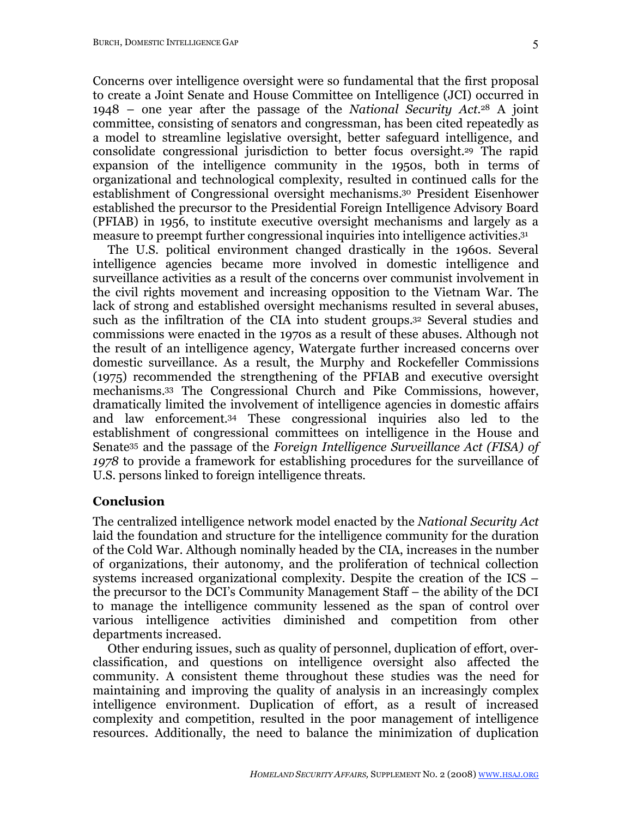Concerns over intelligence oversight were so fundamental that the first proposal to create a Joint Senate and House Committee on Intelligence (JCI) occurred in 1948 – one year after the passage of the *National Security Act*. <sup>28</sup> A joint committee, consisting of senators and congressman, has been cited repeatedly as a model to streamline legislative oversight, better safeguard intelligence, and consolidate congressional jurisdiction to better focus oversight.29 The rapid expansion of the intelligence community in the 1950s, both in terms of organizational and technological complexity, resulted in continued calls for the establishment of Congressional oversight mechanisms. <sup>30</sup> President Eisenhower established the precursor to the Presidential Foreign Intelligence Advisory Board (PFIAB) in 1956, to institute executive oversight mechanisms and largely as a measure to preempt further congressional inquiries into intelligence activities.31

The U.S. political environment changed drastically in the 1960s. Several intelligence agencies became more involved in domestic intelligence and surveillance activities as a result of the concerns over communist involvement in the civil rights movement and increasing opposition to the Vietnam War. The lack of strong and established oversight mechanisms resulted in several abuses, such as the infiltration of the CIA into student groups.32 Several studies and commissions were enacted in the 1970s as a result of these abuses. Although not the result of an intelligence agency, Watergate further increased concerns over domestic surveillance. As a result, the Murphy and Rockefeller Commissions (1975) recommended the strengthening of the PFIAB and executive oversight mechanisms.33 The Congressional Church and Pike Commissions, however, dramatically limited the involvement of intelligence agencies in domestic affairs and law enforcement.34 These congressional inquiries also led to the establishment of congressional committees on intelligence in the House and Senate35 and the passage of the *Foreign Intelligence Surveillance Act (FISA) of 1978* to provide a framework for establishing procedures for the surveillance of U.S. persons linked to foreign intelligence threats.

#### **Conclusion**

The centralized intelligence network model enacted by the *National Security Act* laid the foundation and structure for the intelligence community for the duration of the Cold War. Although nominally headed by the CIA, increases in the number of organizations, their autonomy, and the proliferation of technical collection systems increased organizational complexity. Despite the creation of the ICS – the precursor to the DCI's Community Management Staff – the ability of the DCI to manage the intelligence community lessened as the span of control over various intelligence activities diminished and competition from other departments increased.

Other enduring issues, such as quality of personnel, duplication of effort, overclassification, and questions on intelligence oversight also affected the community. A consistent theme throughout these studies was the need for maintaining and improving the quality of analysis in an increasingly complex intelligence environment. Duplication of effort, as a result of increased complexity and competition, resulted in the poor management of intelligence resources. Additionally, the need to balance the minimization of duplication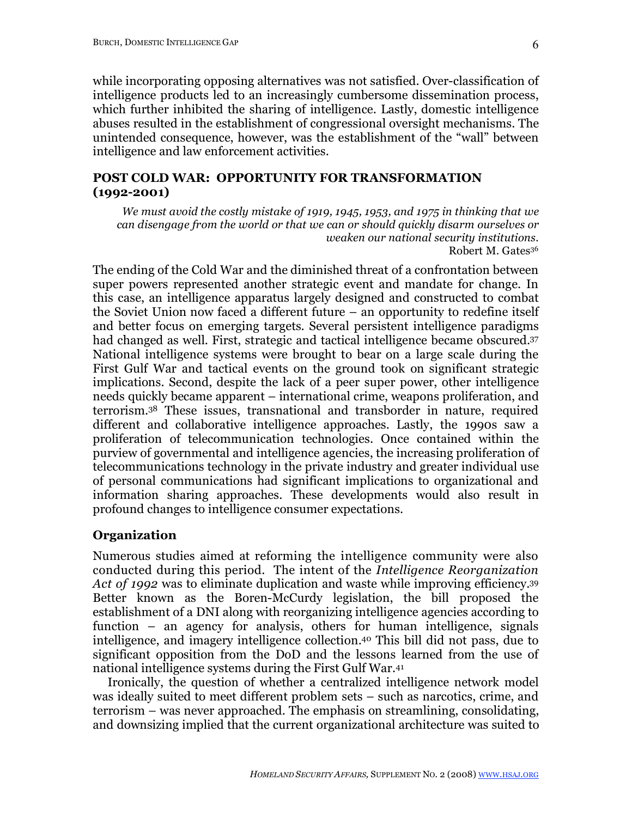while incorporating opposing alternatives was not satisfied. Over-classification of intelligence products led to an increasingly cumbersome dissemination process, which further inhibited the sharing of intelligence. Lastly, domestic intelligence abuses resulted in the establishment of congressional oversight mechanisms. The unintended consequence, however, was the establishment of the "wall" between intelligence and law enforcement activities.

### **POST COLD WAR: OPPORTUNITY FOR TRANSFORMATION (1992-2001)**

*We must avoid the costly mistake of 1919, 1945, 1953, and 1975 in thinking that we can disengage from the world or that we can or should quickly disarm ourselves or weaken our national security institutions.* Robert M. Gates36

The ending of the Cold War and the diminished threat of a confrontation between super powers represented another strategic event and mandate for change. In this case, an intelligence apparatus largely designed and constructed to combat the Soviet Union now faced a different future – an opportunity to redefine itself and better focus on emerging targets. Several persistent intelligence paradigms had changed as well. First, strategic and tactical intelligence became obscured.37 National intelligence systems were brought to bear on a large scale during the First Gulf War and tactical events on the ground took on significant strategic implications. Second, despite the lack of a peer super power, other intelligence needs quickly became apparent – international crime, weapons proliferation, and terrorism.38 These issues, transnational and transborder in nature, required different and collaborative intelligence approaches. Lastly, the 1990s saw a proliferation of telecommunication technologies. Once contained within the purview of governmental and intelligence agencies, the increasing proliferation of telecommunications technology in the private industry and greater individual use of personal communications had significant implications to organizational and information sharing approaches. These developments would also result in profound changes to intelligence consumer expectations.

### **Organization**

Numerous studies aimed at reforming the intelligence community were also conducted during this period. The intent of the *Intelligence Reorganization Act of 1992* was to eliminate duplication and waste while improving efficiency.39 Better known as the Boren-McCurdy legislation, the bill proposed the establishment of a DNI along with reorganizing intelligence agencies according to function – an agency for analysis, others for human intelligence, signals intelligence, and imagery intelligence collection.40 This bill did not pass, due to significant opposition from the DoD and the lessons learned from the use of national intelligence systems during the First Gulf War.41

Ironically, the question of whether a centralized intelligence network model was ideally suited to meet different problem sets – such as narcotics, crime, and terrorism – was never approached. The emphasis on streamlining, consolidating, and downsizing implied that the current organizational architecture was suited to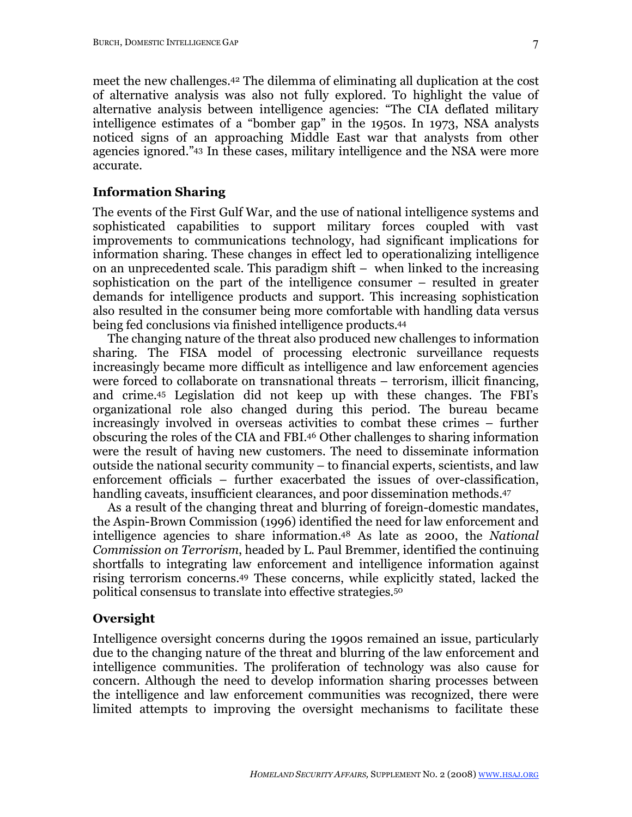meet the new challenges.42 The dilemma of eliminating all duplication at the cost of alternative analysis was also not fully explored. To highlight the value of alternative analysis between intelligence agencies: "The CIA deflated military intelligence estimates of a "bomber gap" in the 1950s. In 1973, NSA analysts noticed signs of an approaching Middle East war that analysts from other agencies ignored."43 In these cases, military intelligence and the NSA were more accurate.

### **Information Sharing**

The events of the First Gulf War, and the use of national intelligence systems and sophisticated capabilities to support military forces coupled with vast improvements to communications technology, had significant implications for information sharing. These changes in effect led to operationalizing intelligence on an unprecedented scale. This paradigm shift – when linked to the increasing sophistication on the part of the intelligence consumer – resulted in greater demands for intelligence products and support. This increasing sophistication also resulted in the consumer being more comfortable with handling data versus being fed conclusions via finished intelligence products. 44

The changing nature of the threat also produced new challenges to information sharing. The FISA model of processing electronic surveillance requests increasingly became more difficult as intelligence and law enforcement agencies were forced to collaborate on transnational threats – terrorism, illicit financing, and crime.45 Legislation did not keep up with these changes. The FBI's organizational role also changed during this period. The bureau became increasingly involved in overseas activities to combat these crimes – further obscuring the roles of the CIA and FBI. <sup>46</sup> Other challenges to sharing information were the result of having new customers. The need to disseminate information outside the national security community – to financial experts, scientists, and law enforcement officials – further exacerbated the issues of over-classification, handling caveats, insufficient clearances, and poor dissemination methods.<sup>47</sup>

As a result of the changing threat and blurring of foreign-domestic mandates, the Aspin-Brown Commission (1996) identified the need for law enforcement and intelligence agencies to share information.48 As late as 2000, the *National Commission on Terrorism*, headed by L. Paul Bremmer, identified the continuing shortfalls to integrating law enforcement and intelligence information against rising terrorism concerns.49 These concerns, while explicitly stated, lacked the political consensus to translate into effective strategies.50

### **Oversight**

Intelligence oversight concerns during the 1990s remained an issue, particularly due to the changing nature of the threat and blurring of the law enforcement and intelligence communities. The proliferation of technology was also cause for concern. Although the need to develop information sharing processes between the intelligence and law enforcement communities was recognized, there were limited attempts to improving the oversight mechanisms to facilitate these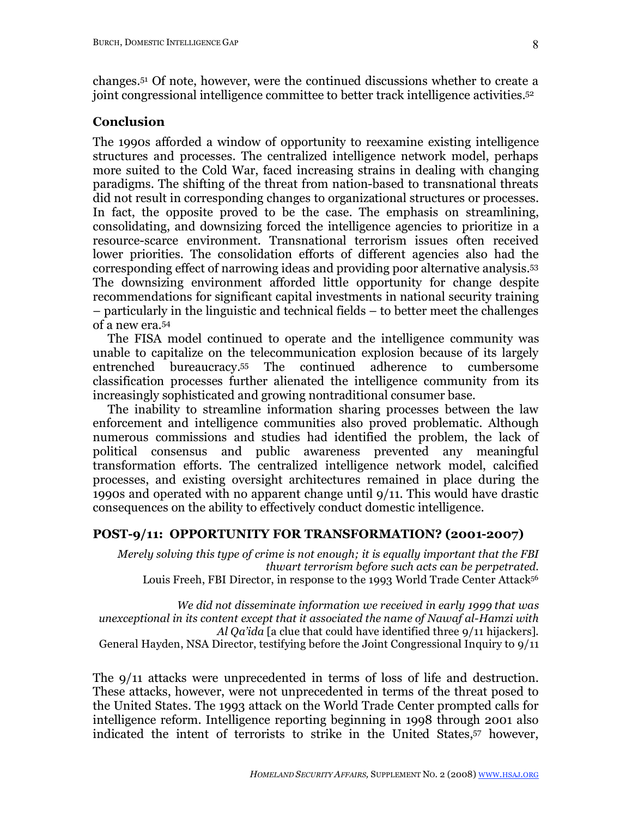changes. 51 Of note, however, were the continued discussions whether to create a joint congressional intelligence committee to better track intelligence activities.52

### **Conclusion**

The 1990s afforded a window of opportunity to reexamine existing intelligence structures and processes. The centralized intelligence network model, perhaps more suited to the Cold War, faced increasing strains in dealing with changing paradigms. The shifting of the threat from nation-based to transnational threats did not result in corresponding changes to organizational structures or processes. In fact, the opposite proved to be the case. The emphasis on streamlining, consolidating, and downsizing forced the intelligence agencies to prioritize in a resource-scarce environment. Transnational terrorism issues often received lower priorities. The consolidation efforts of different agencies also had the corresponding effect of narrowing ideas and providing poor alternative analysis.53 The downsizing environment afforded little opportunity for change despite recommendations for significant capital investments in national security training – particularly in the linguistic and technical fields – to better meet the challenges of a new era.54

The FISA model continued to operate and the intelligence community was unable to capitalize on the telecommunication explosion because of its largely entrenched bureaucracy.55 The continued adherence to cumbersome classification processes further alienated the intelligence community from its increasingly sophisticated and growing nontraditional consumer base.

The inability to streamline information sharing processes between the law enforcement and intelligence communities also proved problematic. Although numerous commissions and studies had identified the problem, the lack of political consensus and public awareness prevented any meaningful transformation efforts. The centralized intelligence network model, calcified processes, and existing oversight architectures remained in place during the 1990s and operated with no apparent change until 9/11. This would have drastic consequences on the ability to effectively conduct domestic intelligence.

### **POST-9/11: OPPORTUNITY FOR TRANSFORMATION? (2001-2007)**

*Merely solving this type of crime is not enough; it is equally important that the FBI thwart terrorism before such acts can be perpetrated.* Louis Freeh, FBI Director, in response to the 1993 World Trade Center Attack<sup>56</sup>

*We did not disseminate information we received in early 1999 that was unexceptional in its content except that it associated the name of Nawaf al-Hamzi with Al Qa'ida* [a clue that could have identified three 9/11 hijackers]. General Hayden, NSA Director, testifying before the Joint Congressional Inquiry to 9/11

The 9/11 attacks were unprecedented in terms of loss of life and destruction. These attacks, however, were not unprecedented in terms of the threat posed to the United States. The 1993 attack on the World Trade Center prompted calls for intelligence reform. Intelligence reporting beginning in 1998 through 2001 also indicated the intent of terrorists to strike in the United States,57 however,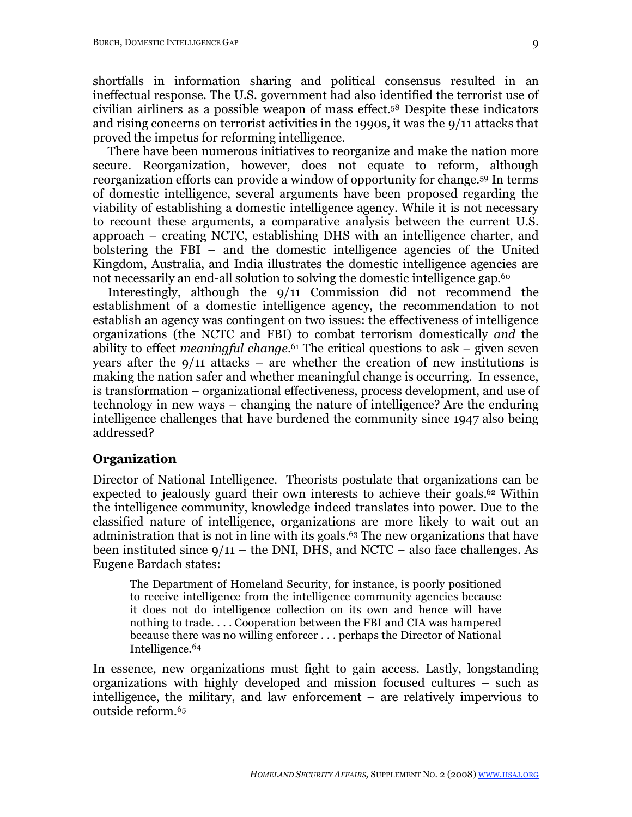shortfalls in information sharing and political consensus resulted in an ineffectual response. The U.S. government had also identified the terrorist use of civilian airliners as a possible weapon of mass effect. 58 Despite these indicators and rising concerns on terrorist activities in the 1990s, it was the 9/11 attacks that proved the impetus for reforming intelligence.

There have been numerous initiatives to reorganize and make the nation more secure. Reorganization, however, does not equate to reform, although reorganization efforts can provide a window of opportunity for change.59 In terms of domestic intelligence, several arguments have been proposed regarding the viability of establishing a domestic intelligence agency. While it is not necessary to recount these arguments, a comparative analysis between the current U.S. approach – creating NCTC, establishing DHS with an intelligence charter, and bolstering the FBI – and the domestic intelligence agencies of the United Kingdom, Australia, and India illustrates the domestic intelligence agencies are not necessarily an end-all solution to solving the domestic intelligence gap.<sup>60</sup>

Interestingly, although the 9/11 Commission did not recommend the establishment of a domestic intelligence agency, the recommendation to not establish an agency was contingent on two issues: the effectiveness of intelligence organizations (the NCTC and FBI) to combat terrorism domestically *and* the ability to effect *meaningful change*. <sup>61</sup> The critical questions to ask – given seven years after the  $9/11$  attacks – are whether the creation of new institutions is making the nation safer and whether meaningful change is occurring. In essence, is transformation – organizational effectiveness, process development, and use of technology in new ways – changing the nature of intelligence? Are the enduring intelligence challenges that have burdened the community since 1947 also being addressed?

### **Organization**

Director of National Intelligence. Theorists postulate that organizations can be expected to jealously guard their own interests to achieve their goals.<sup>62</sup> Within the intelligence community, knowledge indeed translates into power. Due to the classified nature of intelligence, organizations are more likely to wait out an administration that is not in line with its goals.<sup>63</sup> The new organizations that have been instituted since  $9/11$  – the DNI, DHS, and NCTC – also face challenges. As Eugene Bardach states:

The Department of Homeland Security, for instance, is poorly positioned to receive intelligence from the intelligence community agencies because it does not do intelligence collection on its own and hence will have nothing to trade. . . . Cooperation between the FBI and CIA was hampered because there was no willing enforcer . . . perhaps the Director of National Intelligence.64

In essence, new organizations must fight to gain access. Lastly, longstanding organizations with highly developed and mission focused cultures – such as intelligence, the military, and law enforcement – are relatively impervious to outside reform.65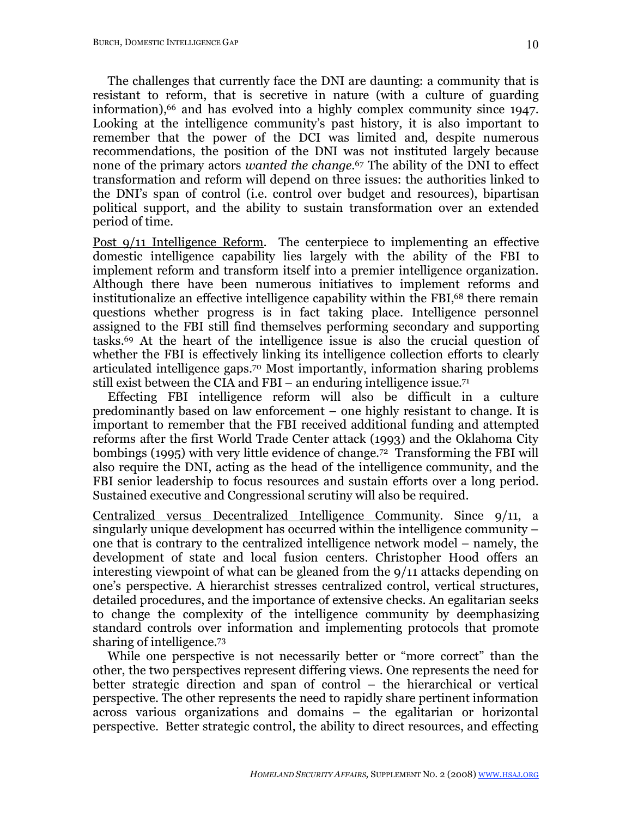The challenges that currently face the DNI are daunting: a community that is resistant to reform, that is secretive in nature (with a culture of guarding information), 66 and has evolved into a highly complex community since 1947. Looking at the intelligence community's past history, it is also important to remember that the power of the DCI was limited and, despite numerous recommendations, the position of the DNI was not instituted largely because none of the primary actors *wanted the change*. 67 The ability of the DNI to effect transformation and reform will depend on three issues: the authorities linked to the DNI's span of control (i.e. control over budget and resources), bipartisan political support, and the ability to sustain transformation over an extended period of time.

Post 9/11 Intelligence Reform. The centerpiece to implementing an effective domestic intelligence capability lies largely with the ability of the FBI to implement reform and transform itself into a premier intelligence organization. Although there have been numerous initiatives to implement reforms and institutionalize an effective intelligence capability within the FBI,<sup>68</sup> there remain questions whether progress is in fact taking place. Intelligence personnel assigned to the FBI still find themselves performing secondary and supporting tasks.69 At the heart of the intelligence issue is also the crucial question of whether the FBI is effectively linking its intelligence collection efforts to clearly articulated intelligence gaps.70 Most importantly, information sharing problems still exist between the CIA and FBI – an enduring intelligence issue.<sup>71</sup>

Effecting FBI intelligence reform will also be difficult in a culture predominantly based on law enforcement – one highly resistant to change. It is important to remember that the FBI received additional funding and attempted reforms after the first World Trade Center attack (1993) and the Oklahoma City bombings (1995) with very little evidence of change.72 Transforming the FBI will also require the DNI, acting as the head of the intelligence community, and the FBI senior leadership to focus resources and sustain efforts over a long period. Sustained executive and Congressional scrutiny will also be required.

Centralized versus Decentralized Intelligence Community. Since 9/11, a singularly unique development has occurred within the intelligence community – one that is contrary to the centralized intelligence network model – namely, the development of state and local fusion centers. Christopher Hood offers an interesting viewpoint of what can be gleaned from the 9/11 attacks depending on one's perspective. A hierarchist stresses centralized control, vertical structures, detailed procedures, and the importance of extensive checks. An egalitarian seeks to change the complexity of the intelligence community by deemphasizing standard controls over information and implementing protocols that promote sharing of intelligence.73

While one perspective is not necessarily better or "more correct" than the other, the two perspectives represent differing views. One represents the need for better strategic direction and span of control – the hierarchical or vertical perspective. The other represents the need to rapidly share pertinent information across various organizations and domains – the egalitarian or horizontal perspective. Better strategic control, the ability to direct resources, and effecting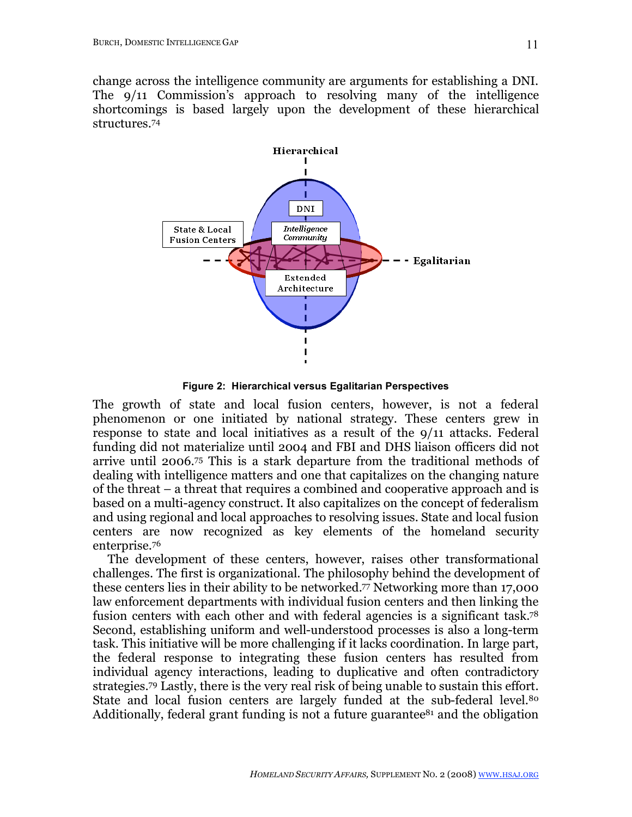change across the intelligence community are arguments for establishing a DNI. The 9/11 Commission's approach to resolving many of the intelligence shortcomings is based largely upon the development of these hierarchical structures.74



**Figure 2: Hierarchical versus Egalitarian Perspectives**

The growth of state and local fusion centers, however, is not a federal phenomenon or one initiated by national strategy. These centers grew in response to state and local initiatives as a result of the 9/11 attacks. Federal funding did not materialize until 2004 and FBI and DHS liaison officers did not arrive until 2006.75 This is a stark departure from the traditional methods of dealing with intelligence matters and one that capitalizes on the changing nature of the threat – a threat that requires a combined and cooperative approach and is based on a multi-agency construct. It also capitalizes on the concept of federalism and using regional and local approaches to resolving issues. State and local fusion centers are now recognized as key elements of the homeland security enterprise.76

The development of these centers, however, raises other transformational challenges. The first is organizational. The philosophy behind the development of these centers lies in their ability to be networked.77 Networking more than 17,000 law enforcement departments with individual fusion centers and then linking the fusion centers with each other and with federal agencies is a significant task.78 Second, establishing uniform and well-understood processes is also a long-term task. This initiative will be more challenging if it lacks coordination. In large part, the federal response to integrating these fusion centers has resulted from individual agency interactions, leading to duplicative and often contradictory strategies.79 Lastly, there is the very real risk of being unable to sustain this effort. State and local fusion centers are largely funded at the sub-federal level.<sup>80</sup> Additionally, federal grant funding is not a future guarantee<sup>81</sup> and the obligation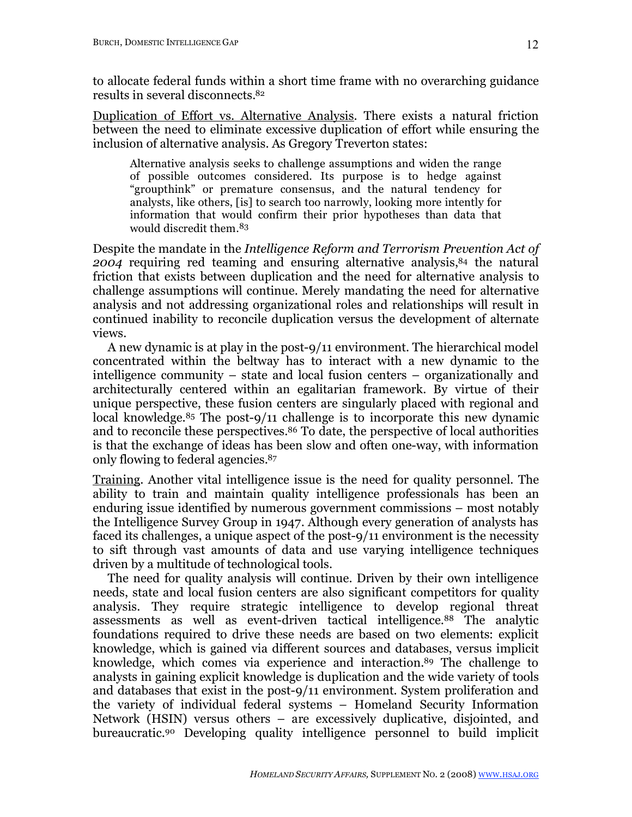to allocate federal funds within a short time frame with no overarching guidance results in several disconnects.82

Duplication of Effort vs. Alternative Analysis. There exists a natural friction between the need to eliminate excessive duplication of effort while ensuring the inclusion of alternative analysis. As Gregory Treverton states:

Alternative analysis seeks to challenge assumptions and widen the range of possible outcomes considered. Its purpose is to hedge against "groupthink" or premature consensus, and the natural tendency for analysts, like others, [is] to search too narrowly, looking more intently for information that would confirm their prior hypotheses than data that would discredit them.83

Despite the mandate in the *Intelligence Reform and Terrorism Prevention Act of*  2004 requiring red teaming and ensuring alternative analysis,<sup>84</sup> the natural friction that exists between duplication and the need for alternative analysis to challenge assumptions will continue. Merely mandating the need for alternative analysis and not addressing organizational roles and relationships will result in continued inability to reconcile duplication versus the development of alternate views.

A new dynamic is at play in the post-9/11 environment. The hierarchical model concentrated within the beltway has to interact with a new dynamic to the intelligence community – state and local fusion centers – organizationally and architecturally centered within an egalitarian framework. By virtue of their unique perspective, these fusion centers are singularly placed with regional and local knowledge.85 The post-9/11 challenge is to incorporate this new dynamic and to reconcile these perspectives. 86 To date, the perspective of local authorities is that the exchange of ideas has been slow and often one-way, with information only flowing to federal agencies.87

Training. Another vital intelligence issue is the need for quality personnel. The ability to train and maintain quality intelligence professionals has been an enduring issue identified by numerous government commissions – most notably the Intelligence Survey Group in 1947. Although every generation of analysts has faced its challenges, a unique aspect of the post-9/11 environment is the necessity to sift through vast amounts of data and use varying intelligence techniques driven by a multitude of technological tools.

The need for quality analysis will continue. Driven by their own intelligence needs, state and local fusion centers are also significant competitors for quality analysis. They require strategic intelligence to develop regional threat assessments as well as event-driven tactical intelligence.88 The analytic foundations required to drive these needs are based on two elements: explicit knowledge, which is gained via different sources and databases, versus implicit knowledge, which comes via experience and interaction.89 The challenge to analysts in gaining explicit knowledge is duplication and the wide variety of tools and databases that exist in the post-9/11 environment. System proliferation and the variety of individual federal systems – Homeland Security Information Network (HSIN) versus others – are excessively duplicative, disjointed, and bureaucratic.90 Developing quality intelligence personnel to build implicit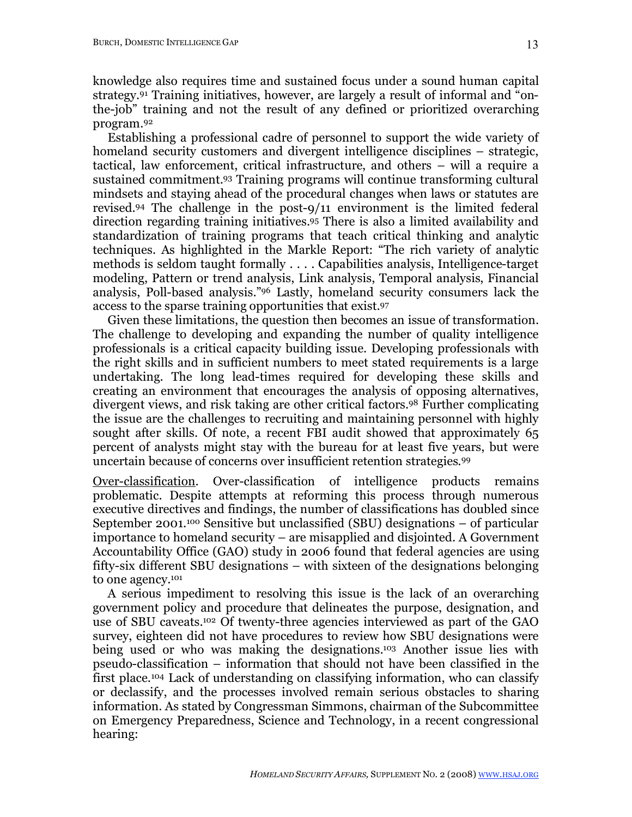knowledge also requires time and sustained focus under a sound human capital strategy.91 Training initiatives, however, are largely a result of informal and "onthe-job" training and not the result of any defined or prioritized overarching program.92

Establishing a professional cadre of personnel to support the wide variety of homeland security customers and divergent intelligence disciplines – strategic, tactical, law enforcement, critical infrastructure, and others – will a require a sustained commitment.93 Training programs will continue transforming cultural mindsets and staying ahead of the procedural changes when laws or statutes are revised.94 The challenge in the post-9/11 environment is the limited federal direction regarding training initiatives.95 There is also a limited availability and standardization of training programs that teach critical thinking and analytic techniques. As highlighted in the Markle Report: "The rich variety of analytic methods is seldom taught formally . . . . Capabilities analysis, Intelligence-target modeling, Pattern or trend analysis, Link analysis, Temporal analysis, Financial analysis, Poll-based analysis."96 Lastly, homeland security consumers lack the access to the sparse training opportunities that exist.97

Given these limitations, the question then becomes an issue of transformation. The challenge to developing and expanding the number of quality intelligence professionals is a critical capacity building issue. Developing professionals with the right skills and in sufficient numbers to meet stated requirements is a large undertaking. The long lead-times required for developing these skills and creating an environment that encourages the analysis of opposing alternatives, divergent views, and risk taking are other critical factors.98 Further complicating the issue are the challenges to recruiting and maintaining personnel with highly sought after skills. Of note, a recent FBI audit showed that approximately 65 percent of analysts might stay with the bureau for at least five years, but were uncertain because of concerns over insufficient retention strategies.99

Over-classification. Over-classification of intelligence products remains problematic. Despite attempts at reforming this process through numerous executive directives and findings, the number of classifications has doubled since September 2001.100 Sensitive but unclassified (SBU) designations – of particular importance to homeland security – are misapplied and disjointed. A Government Accountability Office (GAO) study in 2006 found that federal agencies are using fifty-six different SBU designations – with sixteen of the designations belonging to one agency.101

A serious impediment to resolving this issue is the lack of an overarching government policy and procedure that delineates the purpose, designation, and use of SBU caveats.102 Of twenty-three agencies interviewed as part of the GAO survey, eighteen did not have procedures to review how SBU designations were being used or who was making the designations.103 Another issue lies with pseudo-classification – information that should not have been classified in the first place.104 Lack of understanding on classifying information, who can classify or declassify, and the processes involved remain serious obstacles to sharing information. As stated by Congressman Simmons, chairman of the Subcommittee on Emergency Preparedness, Science and Technology, in a recent congressional hearing: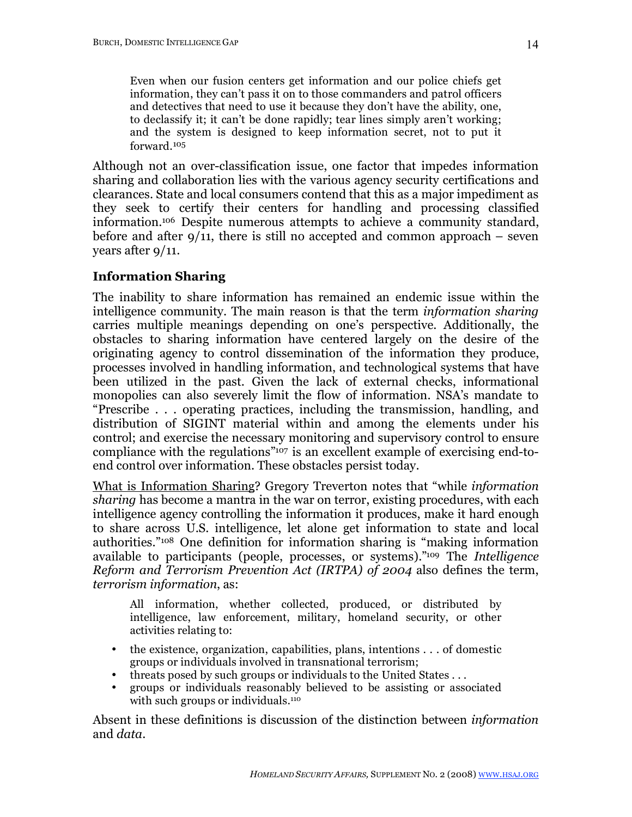Even when our fusion centers get information and our police chiefs get information, they can't pass it on to those commanders and patrol officers and detectives that need to use it because they don't have the ability, one, to declassify it; it can't be done rapidly; tear lines simply aren't working; and the system is designed to keep information secret, not to put it forward.105

Although not an over-classification issue, one factor that impedes information sharing and collaboration lies with the various agency security certifications and clearances. State and local consumers contend that this as a major impediment as they seek to certify their centers for handling and processing classified information.106 Despite numerous attempts to achieve a community standard, before and after  $9/11$ , there is still no accepted and common approach – seven years after 9/11.

# **Information Sharing**

The inability to share information has remained an endemic issue within the intelligence community. The main reason is that the term *information sharing* carries multiple meanings depending on one's perspective. Additionally, the obstacles to sharing information have centered largely on the desire of the originating agency to control dissemination of the information they produce, processes involved in handling information, and technological systems that have been utilized in the past. Given the lack of external checks, informational monopolies can also severely limit the flow of information. NSA's mandate to "Prescribe . . . operating practices, including the transmission, handling, and distribution of SIGINT material within and among the elements under his control; and exercise the necessary monitoring and supervisory control to ensure compliance with the regulations"107 is an excellent example of exercising end-toend control over information. These obstacles persist today.

What is Information Sharing? Gregory Treverton notes that "while *information sharing* has become a mantra in the war on terror, existing procedures, with each intelligence agency controlling the information it produces, make it hard enough to share across U.S. intelligence, let alone get information to state and local authorities."108 One definition for information sharing is "making information available to participants (people, processes, or systems)."109 The *Intelligence Reform and Terrorism Prevention Act (IRTPA) of 2004* also defines the term, *terrorism information*, as:

All information, whether collected, produced, or distributed by intelligence, law enforcement, military, homeland security, or other activities relating to:

- the existence, organization, capabilities, plans, intentions . . . of domestic groups or individuals involved in transnational terrorism;
- threats posed by such groups or individuals to the United States ...
- groups or individuals reasonably believed to be assisting or associated with such groups or individuals.<sup>110</sup>

Absent in these definitions is discussion of the distinction between *information* and *data*.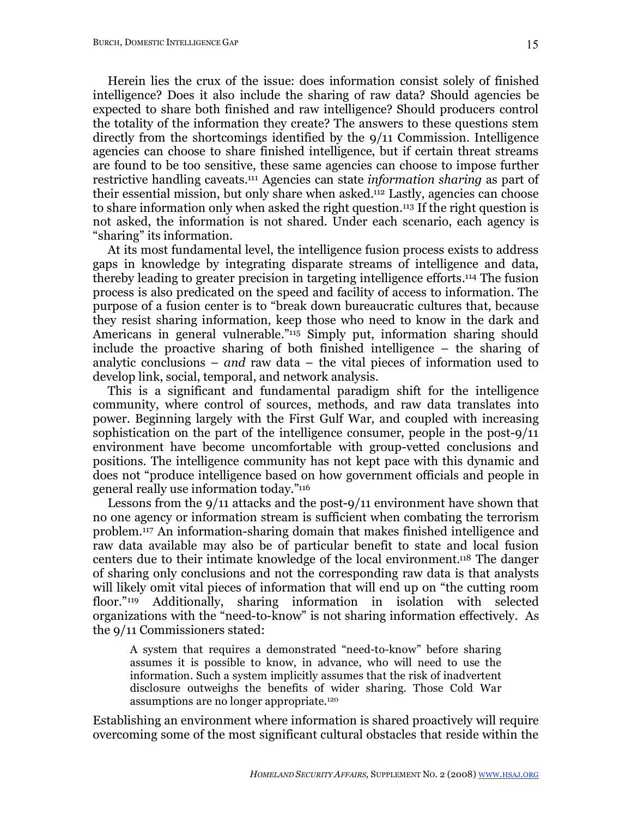Herein lies the crux of the issue: does information consist solely of finished intelligence? Does it also include the sharing of raw data? Should agencies be expected to share both finished and raw intelligence? Should producers control the totality of the information they create? The answers to these questions stem directly from the shortcomings identified by the 9/11 Commission. Intelligence agencies can choose to share finished intelligence, but if certain threat streams are found to be too sensitive, these same agencies can choose to impose further restrictive handling caveats.111 Agencies can state *information sharing* as part of their essential mission, but only share when asked.112 Lastly, agencies can choose to share information only when asked the right question.113 If the right question is not asked, the information is not shared. Under each scenario, each agency is "sharing" its information.

At its most fundamental level, the intelligence fusion process exists to address gaps in knowledge by integrating disparate streams of intelligence and data, thereby leading to greater precision in targeting intelligence efforts.114 The fusion process is also predicated on the speed and facility of access to information. The purpose of a fusion center is to "break down bureaucratic cultures that, because they resist sharing information, keep those who need to know in the dark and Americans in general vulnerable.<sup>"115</sup> Simply put, information sharing should include the proactive sharing of both finished intelligence – the sharing of analytic conclusions – *and* raw data – the vital pieces of information used to develop link, social, temporal, and network analysis.

This is a significant and fundamental paradigm shift for the intelligence community, where control of sources, methods, and raw data translates into power. Beginning largely with the First Gulf War, and coupled with increasing sophistication on the part of the intelligence consumer, people in the post-9/11 environment have become uncomfortable with group-vetted conclusions and positions. The intelligence community has not kept pace with this dynamic and does not "produce intelligence based on how government officials and people in general really use information today."116

Lessons from the 9/11 attacks and the post-9/11 environment have shown that no one agency or information stream is sufficient when combating the terrorism problem.117 An information-sharing domain that makes finished intelligence and raw data available may also be of particular benefit to state and local fusion centers due to their intimate knowledge of the local environment.118 The danger of sharing only conclusions and not the corresponding raw data is that analysts will likely omit vital pieces of information that will end up on "the cutting room floor."<sup>119</sup> Additionally, sharing information in isolation with selected organizations with the "need-to-know" is not sharing information effectively. As the 9/11 Commissioners stated:

A system that requires a demonstrated "need-to-know" before sharing assumes it is possible to know, in advance, who will need to use the information. Such a system implicitly assumes that the risk of inadvertent disclosure outweighs the benefits of wider sharing. Those Cold War assumptions are no longer appropriate.<sup>120</sup>

Establishing an environment where information is shared proactively will require overcoming some of the most significant cultural obstacles that reside within the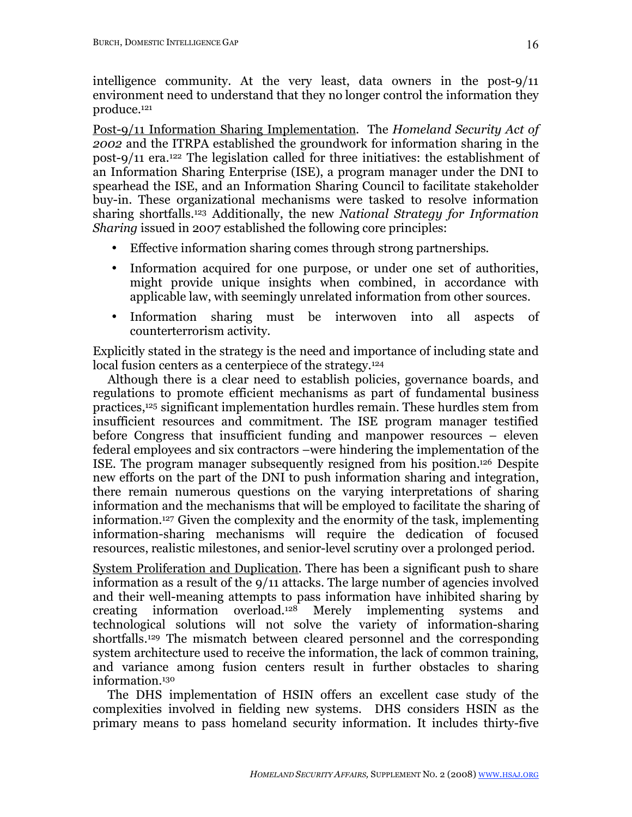intelligence community. At the very least, data owners in the post-9/11 environment need to understand that they no longer control the information they produce.121

Post-9/11 Information Sharing Implementation. The *Homeland Security Act of 2002* and the ITRPA established the groundwork for information sharing in the post-9/11 era.122 The legislation called for three initiatives: the establishment of an Information Sharing Enterprise (ISE), a program manager under the DNI to spearhead the ISE, and an Information Sharing Council to facilitate stakeholder buy-in. These organizational mechanisms were tasked to resolve information sharing shortfalls.123 Additionally, the new *National Strategy for Information Sharing* issued in 2007 established the following core principles:

- Effective information sharing comes through strong partnerships.
- Information acquired for one purpose, or under one set of authorities, might provide unique insights when combined, in accordance with applicable law, with seemingly unrelated information from other sources.
- Information sharing must be interwoven into all aspects of counterterrorism activity.

Explicitly stated in the strategy is the need and importance of including state and local fusion centers as a centerpiece of the strategy.<sup>124</sup>

Although there is a clear need to establish policies, governance boards, and regulations to promote efficient mechanisms as part of fundamental business practices,125 significant implementation hurdles remain. These hurdles stem from insufficient resources and commitment. The ISE program manager testified before Congress that insufficient funding and manpower resources – eleven federal employees and six contractors –were hindering the implementation of the ISE. The program manager subsequently resigned from his position.126 Despite new efforts on the part of the DNI to push information sharing and integration, there remain numerous questions on the varying interpretations of sharing information and the mechanisms that will be employed to facilitate the sharing of information.127 Given the complexity and the enormity of the task, implementing information-sharing mechanisms will require the dedication of focused resources, realistic milestones, and senior-level scrutiny over a prolonged period.

System Proliferation and Duplication. There has been a significant push to share information as a result of the 9/11 attacks. The large number of agencies involved and their well-meaning attempts to pass information have inhibited sharing by creating information overload.128 Merely implementing systems and technological solutions will not solve the variety of information-sharing shortfalls.129 The mismatch between cleared personnel and the corresponding system architecture used to receive the information, the lack of common training, and variance among fusion centers result in further obstacles to sharing information.130

The DHS implementation of HSIN offers an excellent case study of the complexities involved in fielding new systems. DHS considers HSIN as the primary means to pass homeland security information. It includes thirty-five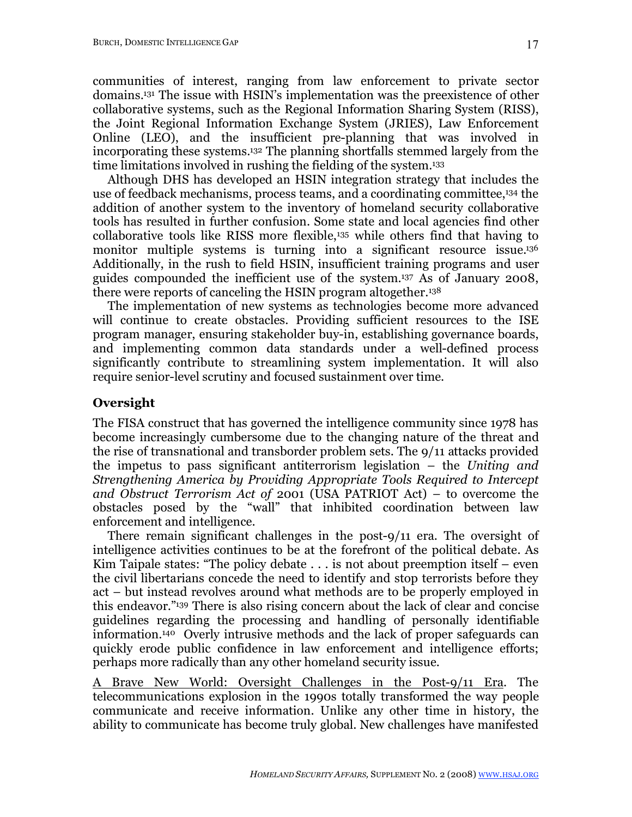communities of interest, ranging from law enforcement to private sector domains.131 The issue with HSIN's implementation was the preexistence of other collaborative systems, such as the Regional Information Sharing System (RISS), the Joint Regional Information Exchange System (JRIES), Law Enforcement Online (LEO), and the insufficient pre-planning that was involved in incorporating these systems.132 The planning shortfalls stemmed largely from the time limitations involved in rushing the fielding of the system.133

Although DHS has developed an HSIN integration strategy that includes the use of feedback mechanisms, process teams, and a coordinating committee,134 the addition of another system to the inventory of homeland security collaborative tools has resulted in further confusion. Some state and local agencies find other collaborative tools like RISS more flexible,135 while others find that having to monitor multiple systems is turning into a significant resource issue.<sup>136</sup> Additionally, in the rush to field HSIN, insufficient training programs and user guides compounded the inefficient use of the system.137 As of January 2008, there were reports of canceling the HSIN program altogether.138

The implementation of new systems as technologies become more advanced will continue to create obstacles. Providing sufficient resources to the ISE program manager, ensuring stakeholder buy-in, establishing governance boards, and implementing common data standards under a well-defined process significantly contribute to streamlining system implementation. It will also require senior-level scrutiny and focused sustainment over time.

# **Oversight**

The FISA construct that has governed the intelligence community since 1978 has become increasingly cumbersome due to the changing nature of the threat and the rise of transnational and transborder problem sets. The 9/11 attacks provided the impetus to pass significant antiterrorism legislation – the *Uniting and Strengthening America by Providing Appropriate Tools Required to Intercept and Obstruct Terrorism Act of* 2001 (USA PATRIOT Act) – to overcome the obstacles posed by the "wall" that inhibited coordination between law enforcement and intelligence.

There remain significant challenges in the post-9/11 era. The oversight of intelligence activities continues to be at the forefront of the political debate. As Kim Taipale states: "The policy debate . . . is not about preemption itself – even the civil libertarians concede the need to identify and stop terrorists before they act – but instead revolves around what methods are to be properly employed in this endeavor."139 There is also rising concern about the lack of clear and concise guidelines regarding the processing and handling of personally identifiable information.140 Overly intrusive methods and the lack of proper safeguards can quickly erode public confidence in law enforcement and intelligence efforts; perhaps more radically than any other homeland security issue.

A Brave New World: Oversight Challenges in the Post-9/11 Era. The telecommunications explosion in the 1990s totally transformed the way people communicate and receive information. Unlike any other time in history, the ability to communicate has become truly global. New challenges have manifested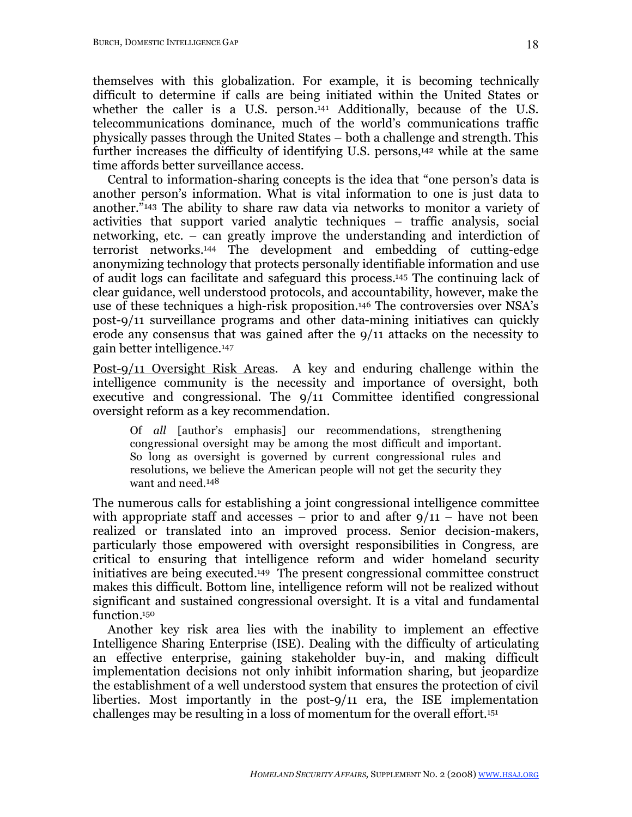themselves with this globalization. For example, it is becoming technically difficult to determine if calls are being initiated within the United States or whether the caller is a U.S. person.<sup>141</sup> Additionally, because of the U.S. telecommunications dominance, much of the world's communications traffic physically passes through the United States – both a challenge and strength. This further increases the difficulty of identifying U.S. persons,<sup>142</sup> while at the same time affords better surveillance access.

Central to information-sharing concepts is the idea that "one person's data is another person's information. What is vital information to one is just data to another."143 The ability to share raw data via networks to monitor a variety of activities that support varied analytic techniques – traffic analysis, social networking, etc. – can greatly improve the understanding and interdiction of terrorist networks.144 The development and embedding of cutting-edge anonymizing technology that protects personally identifiable information and use of audit logs can facilitate and safeguard this process.145 The continuing lack of clear guidance, well understood protocols, and accountability, however, make the use of these techniques a high-risk proposition.146 The controversies over NSA's post-9/11 surveillance programs and other data-mining initiatives can quickly erode any consensus that was gained after the 9/11 attacks on the necessity to gain better intelligence.147

Post-9/11 Oversight Risk Areas. A key and enduring challenge within the intelligence community is the necessity and importance of oversight, both executive and congressional. The 9/11 Committee identified congressional oversight reform as a key recommendation.

Of *all* [author's emphasis] our recommendations, strengthening congressional oversight may be among the most difficult and important. So long as oversight is governed by current congressional rules and resolutions, we believe the American people will not get the security they want and need.148

The numerous calls for establishing a joint congressional intelligence committee with appropriate staff and accesses – prior to and after  $9/11$  – have not been realized or translated into an improved process. Senior decision-makers, particularly those empowered with oversight responsibilities in Congress, are critical to ensuring that intelligence reform and wider homeland security initiatives are being executed.149 The present congressional committee construct makes this difficult. Bottom line, intelligence reform will not be realized without significant and sustained congressional oversight. It is a vital and fundamental function.<sup>150</sup>

Another key risk area lies with the inability to implement an effective Intelligence Sharing Enterprise (ISE). Dealing with the difficulty of articulating an effective enterprise, gaining stakeholder buy-in, and making difficult implementation decisions not only inhibit information sharing, but jeopardize the establishment of a well understood system that ensures the protection of civil liberties. Most importantly in the post-9/11 era, the ISE implementation challenges may be resulting in a loss of momentum for the overall effort.151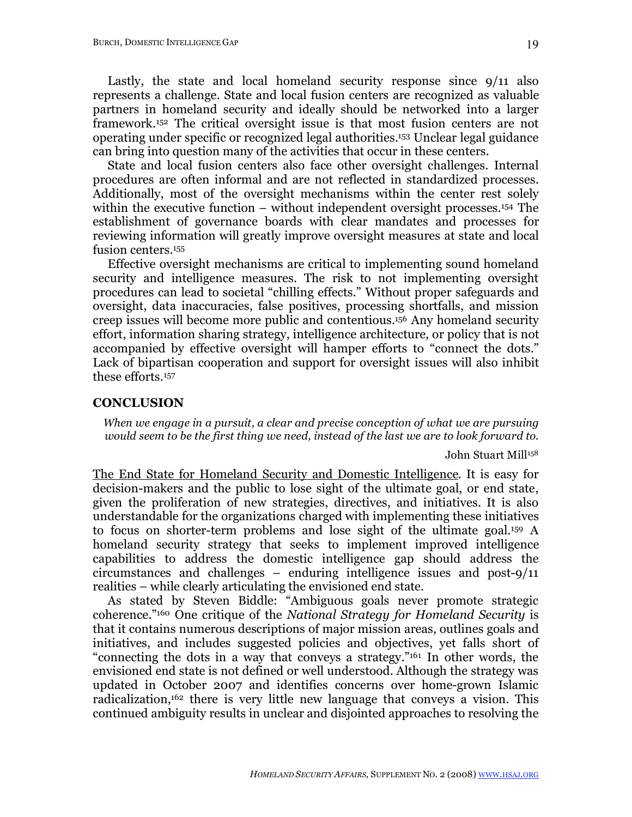Lastly, the state and local homeland security response since 9/11 also represents a challenge. State and local fusion centers are recognized as valuable partners in homeland security and ideally should be networked into a larger framework.152 The critical oversight issue is that most fusion centers are not operating under specific or recognized legal authorities.153 Unclear legal guidance can bring into question many of the activities that occur in these centers.

State and local fusion centers also face other oversight challenges. Internal procedures are often informal and are not reflected in standardized processes. Additionally, most of the oversight mechanisms within the center rest solely within the executive function – without independent oversight processes.154 The establishment of governance boards with clear mandates and processes for reviewing information will greatly improve oversight measures at state and local fusion centers.<sup>155</sup>

Effective oversight mechanisms are critical to implementing sound homeland security and intelligence measures. The risk to not implementing oversight procedures can lead to societal "chilling effects." Without proper safeguards and oversight, data inaccuracies, false positives, processing shortfalls, and mission creep issues will become more public and contentious. 156 Any homeland security effort, information sharing strategy, intelligence architecture, or policy that is not accompanied by effective oversight will hamper efforts to "connect the dots." Lack of bipartisan cooperation and support for oversight issues will also inhibit these efforts.157

### **CONCLUSION**

*When we engage in a pursuit, a clear and precise conception of what we are pursuing would seem to be the first thing we need, instead of the last we are to look forward to.*

John Stuart Mill<sup>158</sup>

The End State for Homeland Security and Domestic Intelligence. It is easy for decision-makers and the public to lose sight of the ultimate goal, or end state, given the proliferation of new strategies, directives, and initiatives. It is also understandable for the organizations charged with implementing these initiatives to focus on shorter-term problems and lose sight of the ultimate goal.159 A homeland security strategy that seeks to implement improved intelligence capabilities to address the domestic intelligence gap should address the circumstances and challenges – enduring intelligence issues and post-9/11 realities – while clearly articulating the envisioned end state.

As stated by Steven Biddle: "Ambiguous goals never promote strategic coherence."160 One critique of the *National Strategy for Homeland Security* is that it contains numerous descriptions of major mission areas, outlines goals and initiatives, and includes suggested policies and objectives, yet falls short of "connecting the dots in a way that conveys a strategy."161 In other words, the envisioned end state is not defined or well understood. Although the strategy was updated in October 2007 and identifies concerns over home-grown Islamic radicalization,162 there is very little new language that conveys a vision. This continued ambiguity results in unclear and disjointed approaches to resolving the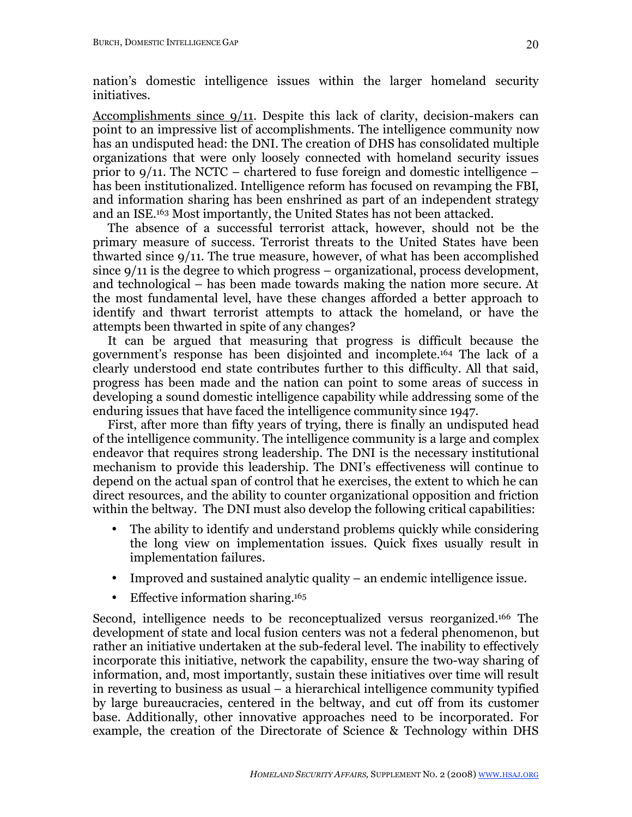nation's domestic intelligence issues within the larger homeland security initiatives.

Accomplishments since 9/11. Despite this lack of clarity, decision-makers can point to an impressive list of accomplishments. The intelligence community now has an undisputed head: the DNI. The creation of DHS has consolidated multiple organizations that were only loosely connected with homeland security issues prior to 9/11. The NCTC – chartered to fuse foreign and domestic intelligence – has been institutionalized. Intelligence reform has focused on revamping the FBI, and information sharing has been enshrined as part of an independent strategy and an ISE.163 Most importantly, the United States has not been attacked.

The absence of a successful terrorist attack, however, should not be the primary measure of success. Terrorist threats to the United States have been thwarted since 9/11. The true measure, however, of what has been accomplished since 9/11 is the degree to which progress – organizational, process development, and technological – has been made towards making the nation more secure. At the most fundamental level, have these changes afforded a better approach to identify and thwart terrorist attempts to attack the homeland, or have the attempts been thwarted in spite of any changes?

It can be argued that measuring that progress is difficult because the government's response has been disjointed and incomplete.164 The lack of a clearly understood end state contributes further to this difficulty. All that said, progress has been made and the nation can point to some areas of success in developing a sound domestic intelligence capability while addressing some of the enduring issues that have faced the intelligence community since 1947.

First, after more than fifty years of trying, there is finally an undisputed head of the intelligence community. The intelligence community is a large and complex endeavor that requires strong leadership. The DNI is the necessary institutional mechanism to provide this leadership. The DNI's effectiveness will continue to depend on the actual span of control that he exercises, the extent to which he can direct resources, and the ability to counter organizational opposition and friction within the beltway. The DNI must also develop the following critical capabilities:

- The ability to identify and understand problems quickly while considering the long view on implementation issues. Quick fixes usually result in implementation failures.
- Improved and sustained analytic quality an endemic intelligence issue.
- Effective information sharing.<sup>165</sup>

Second, intelligence needs to be reconceptualized versus reorganized.166 The development of state and local fusion centers was not a federal phenomenon, but rather an initiative undertaken at the sub-federal level. The inability to effectively incorporate this initiative, network the capability, ensure the two-way sharing of information, and, most importantly, sustain these initiatives over time will result in reverting to business as usual – a hierarchical intelligence community typified by large bureaucracies, centered in the beltway, and cut off from its customer base. Additionally, other innovative approaches need to be incorporated. For example, the creation of the Directorate of Science & Technology within DHS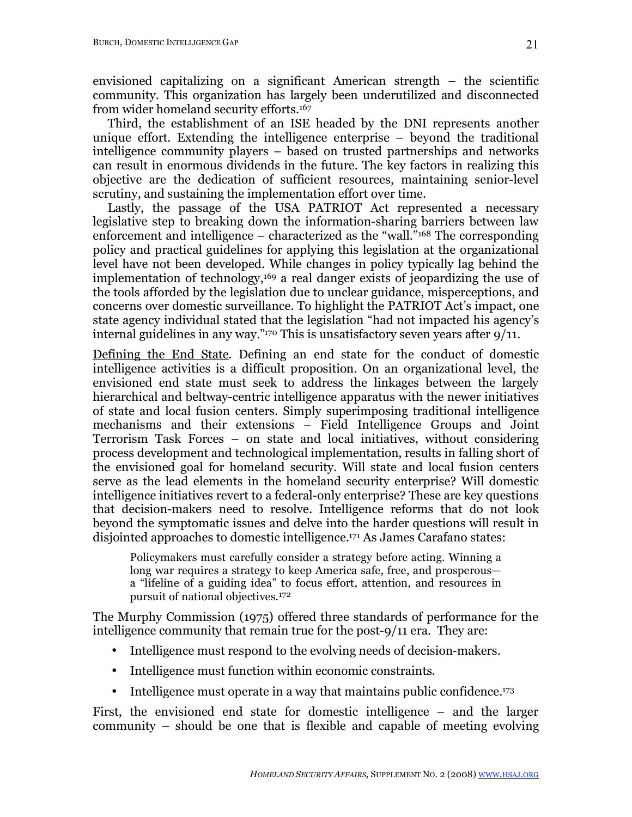envisioned capitalizing on a significant American strength – the scientific community. This organization has largely been underutilized and disconnected from wider homeland security efforts.167

Third, the establishment of an ISE headed by the DNI represents another unique effort. Extending the intelligence enterprise – beyond the traditional intelligence community players – based on trusted partnerships and networks can result in enormous dividends in the future. The key factors in realizing this objective are the dedication of sufficient resources, maintaining senior-level scrutiny, and sustaining the implementation effort over time.

Lastly, the passage of the USA PATRIOT Act represented a necessary legislative step to breaking down the information-sharing barriers between law enforcement and intelligence – characterized as the "wall."168 The corresponding policy and practical guidelines for applying this legislation at the organizational level have not been developed. While changes in policy typically lag behind the implementation of technology,169 a real danger exists of jeopardizing the use of the tools afforded by the legislation due to unclear guidance, misperceptions, and concerns over domestic surveillance. To highlight the PATRIOT Act's impact, one state agency individual stated that the legislation "had not impacted his agency's internal guidelines in any way."170 This is unsatisfactory seven years after 9/11.

Defining the End State. Defining an end state for the conduct of domestic intelligence activities is a difficult proposition. On an organizational level, the envisioned end state must seek to address the linkages between the largely hierarchical and beltway-centric intelligence apparatus with the newer initiatives of state and local fusion centers. Simply superimposing traditional intelligence mechanisms and their extensions – Field Intelligence Groups and Joint Terrorism Task Forces – on state and local initiatives, without considering process development and technological implementation, results in falling short of the envisioned goal for homeland security. Will state and local fusion centers serve as the lead elements in the homeland security enterprise? Will domestic intelligence initiatives revert to a federal-only enterprise? These are key questions that decision-makers need to resolve. Intelligence reforms that do not look beyond the symptomatic issues and delve into the harder questions will result in disjointed approaches to domestic intelligence.171 As James Carafano states:

Policymakers must carefully consider a strategy before acting. Winning a long war requires a strategy to keep America safe, free, and prosperous a "lifeline of a guiding idea" to focus effort, attention, and resources in pursuit of national objectives.172

The Murphy Commission (1975) offered three standards of performance for the intelligence community that remain true for the post-9/11 era. They are:

- Intelligence must respond to the evolving needs of decision-makers.
- Intelligence must function within economic constraints.
- Intelligence must operate in a way that maintains public confidence.<sup>173</sup>

First, the envisioned end state for domestic intelligence – and the larger community – should be one that is flexible and capable of meeting evolving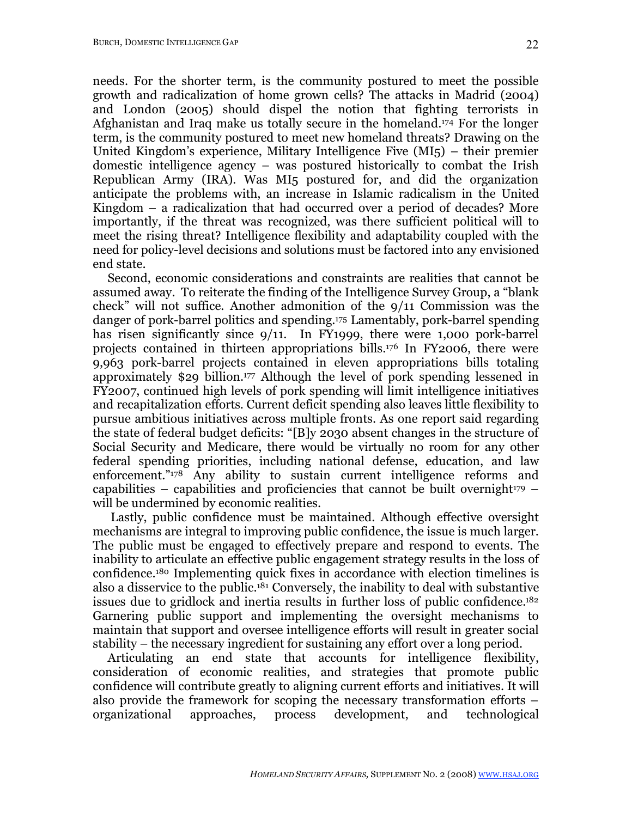needs. For the shorter term, is the community postured to meet the possible growth and radicalization of home grown cells? The attacks in Madrid (2004) and London (2005) should dispel the notion that fighting terrorists in Afghanistan and Iraq make us totally secure in the homeland.174 For the longer term, is the community postured to meet new homeland threats? Drawing on the United Kingdom's experience, Military Intelligence Five  $(MI_5)$  – their premier domestic intelligence agency – was postured historically to combat the Irish Republican Army (IRA). Was MI5 postured for, and did the organization anticipate the problems with, an increase in Islamic radicalism in the United Kingdom – a radicalization that had occurred over a period of decades? More importantly, if the threat was recognized, was there sufficient political will to meet the rising threat? Intelligence flexibility and adaptability coupled with the need for policy-level decisions and solutions must be factored into any envisioned end state.

Second, economic considerations and constraints are realities that cannot be assumed away. To reiterate the finding of the Intelligence Survey Group, a "blank check" will not suffice. Another admonition of the 9/11 Commission was the danger of pork-barrel politics and spending.175 Lamentably, pork-barrel spending has risen significantly since  $9/11$ . In FY1999, there were 1,000 pork-barrel projects contained in thirteen appropriations bills.176 In FY2006, there were 9,963 pork-barrel projects contained in eleven appropriations bills totaling approximately \$29 billion.177 Although the level of pork spending lessened in FY2007, continued high levels of pork spending will limit intelligence initiatives and recapitalization efforts. Current deficit spending also leaves little flexibility to pursue ambitious initiatives across multiple fronts. As one report said regarding the state of federal budget deficits: "[B]y 2030 absent changes in the structure of Social Security and Medicare, there would be virtually no room for any other federal spending priorities, including national defense, education, and law enforcement."178 Any ability to sustain current intelligence reforms and capabilities – capabilities and proficiencies that cannot be built overnight $179$  – will be undermined by economic realities.

Lastly, public confidence must be maintained. Although effective oversight mechanisms are integral to improving public confidence, the issue is much larger. The public must be engaged to effectively prepare and respond to events. The inability to articulate an effective public engagement strategy results in the loss of confidence.180 Implementing quick fixes in accordance with election timelines is also a disservice to the public.181 Conversely, the inability to deal with substantive issues due to gridlock and inertia results in further loss of public confidence.182 Garnering public support and implementing the oversight mechanisms to maintain that support and oversee intelligence efforts will result in greater social stability – the necessary ingredient for sustaining any effort over a long period.

Articulating an end state that accounts for intelligence flexibility, consideration of economic realities, and strategies that promote public confidence will contribute greatly to aligning current efforts and initiatives. It will also provide the framework for scoping the necessary transformation efforts – organizational approaches, process development, and technological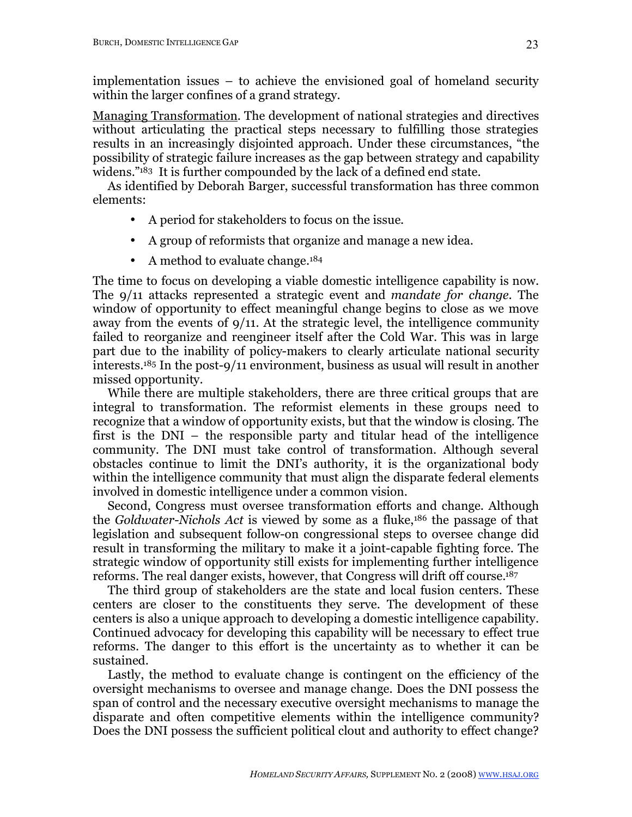implementation issues – to achieve the envisioned goal of homeland security within the larger confines of a grand strategy.

Managing Transformation. The development of national strategies and directives without articulating the practical steps necessary to fulfilling those strategies results in an increasingly disjointed approach. Under these circumstances, "the possibility of strategic failure increases as the gap between strategy and capability widens."183 It is further compounded by the lack of a defined end state.

As identified by Deborah Barger, successful transformation has three common elements:

- A period for stakeholders to focus on the issue.
- A group of reformists that organize and manage a new idea.
- A method to evaluate change.<sup>184</sup>

The time to focus on developing a viable domestic intelligence capability is now. The 9/11 attacks represented a strategic event and *mandate for change*. The window of opportunity to effect meaningful change begins to close as we move away from the events of 9/11. At the strategic level, the intelligence community failed to reorganize and reengineer itself after the Cold War. This was in large part due to the inability of policy-makers to clearly articulate national security interests.185 In the post-9/11 environment, business as usual will result in another missed opportunity.

While there are multiple stakeholders, there are three critical groups that are integral to transformation. The reformist elements in these groups need to recognize that a window of opportunity exists, but that the window is closing. The first is the DNI – the responsible party and titular head of the intelligence community. The DNI must take control of transformation. Although several obstacles continue to limit the DNI's authority, it is the organizational body within the intelligence community that must align the disparate federal elements involved in domestic intelligence under a common vision.

Second, Congress must oversee transformation efforts and change. Although the *Goldwater-Nichols Act* is viewed by some as a fluke,186 the passage of that legislation and subsequent follow-on congressional steps to oversee change did result in transforming the military to make it a joint-capable fighting force. The strategic window of opportunity still exists for implementing further intelligence reforms. The real danger exists, however, that Congress will drift off course.187

The third group of stakeholders are the state and local fusion centers. These centers are closer to the constituents they serve. The development of these centers is also a unique approach to developing a domestic intelligence capability. Continued advocacy for developing this capability will be necessary to effect true reforms. The danger to this effort is the uncertainty as to whether it can be sustained.

Lastly, the method to evaluate change is contingent on the efficiency of the oversight mechanisms to oversee and manage change. Does the DNI possess the span of control and the necessary executive oversight mechanisms to manage the disparate and often competitive elements within the intelligence community? Does the DNI possess the sufficient political clout and authority to effect change?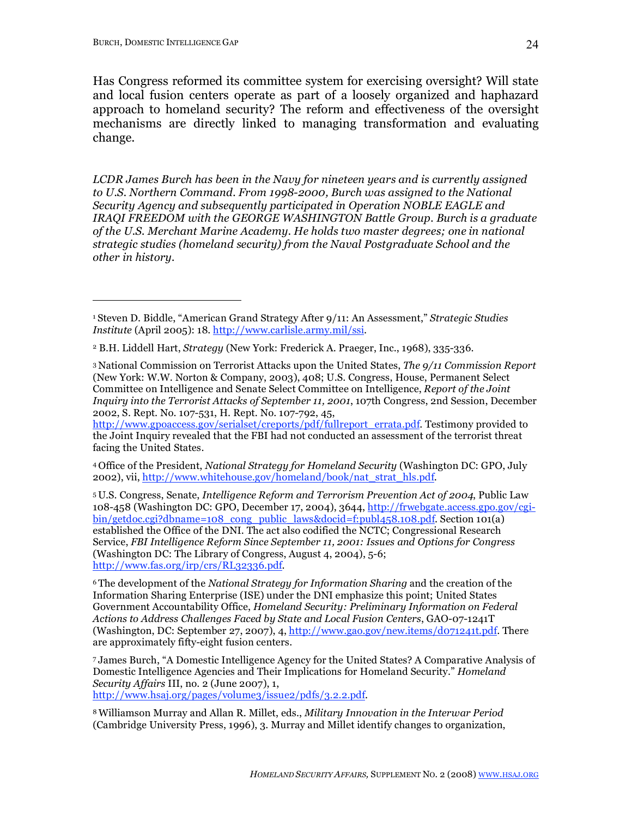Has Congress reformed its committee system for exercising oversight? Will state and local fusion centers operate as part of a loosely organized and haphazard approach to homeland security? The reform and effectiveness of the oversight mechanisms are directly linked to managing transformation and evaluating change.

*LCDR James Burch has been in the Navy for nineteen years and is currently assigned to U.S. Northern Command. From 1998-2000, Burch was assigned to the National Security Agency and subsequently participated in Operation NOBLE EAGLE and IRAQI FREEDOM with the GEORGE WASHINGTON Battle Group. Burch is a graduate of the U.S. Merchant Marine Academy. He holds two master degrees; one in national strategic studies (homeland security) from the Naval Postgraduate School and the other in history.*

http://www.gpoaccess.gov/serialset/creports/pdf/fullreport\_errata.pdf. Testimony provided to the Joint Inquiry revealed that the FBI had not conducted an assessment of the terrorist threat facing the United States.

<sup>4</sup> Office of the President, *National Strategy for Homeland Security* (Washington DC: GPO, July 2002), vii, http://www.whitehouse.gov/homeland/book/nat\_strat\_hls.pdf.

<sup>5</sup> U.S. Congress, Senate, *Intelligence Reform and Terrorism Prevention Act of 2004*, Public Law 108-458 (Washington DC: GPO, December 17, 2004), 3644, http://frwebgate.access.gpo.gov/cgibin/getdoc.cgi?dbname=108\_cong\_public\_laws&docid=f:publ458.108.pdf. Section 101(a) established the Office of the DNI. The act also codified the NCTC; Congressional Research Service, *FBI Intelligence Reform Since September 11, 2001: Issues and Options for Congress*  (Washington DC: The Library of Congress, August 4, 2004), 5-6; http://www.fas.org/irp/crs/RL32336.pdf.

<sup>6</sup> The development of the *National Strategy for Information Sharing* and the creation of the Information Sharing Enterprise (ISE) under the DNI emphasize this point; United States Government Accountability Office, *Homeland Security: Preliminary Information on Federal Actions to Address Challenges Faced by State and Local Fusion Centers*, GAO-07-1241T (Washington, DC: September 27, 2007), 4, http://www.gao.gov/new.items/d071241t.pdf. There are approximately fifty-eight fusion centers.

<sup>7</sup> James Burch, "A Domestic Intelligence Agency for the United States? A Comparative Analysis of Domestic Intelligence Agencies and Their Implications for Homeland Security." *Homeland Security Affairs* III, no. 2 (June 2007), 1, http://www.hsaj.org/pages/volume3/issue2/pdfs/3.2.2.pdf.

<sup>8</sup> Williamson Murray and Allan R. Millet, eds., *Military Innovation in the Interwar Period* (Cambridge University Press, 1996), 3. Murray and Millet identify changes to organization,

<sup>1</sup> Steven D. Biddle, "American Grand Strategy After 9/11: An Assessment," *Strategic Studies Institute* (April 2005): 18. http://www.carlisle.army.mil/ssi.

<sup>2</sup> B.H. Liddell Hart, *Strategy* (New York: Frederick A. Praeger, Inc., 1968), 335-336.

<sup>3</sup> National Commission on Terrorist Attacks upon the United States, *The 9/11 Commission Report* (New York: W.W. Norton & Company, 2003), 408; U.S. Congress, House, Permanent Select Committee on Intelligence and Senate Select Committee on Intelligence, *Report of the Joint Inquiry into the Terrorist Attacks of September 11, 2001*, 107th Congress, 2nd Session, December 2002, S. Rept. No. 107-531, H. Rept. No. 107-792, 45,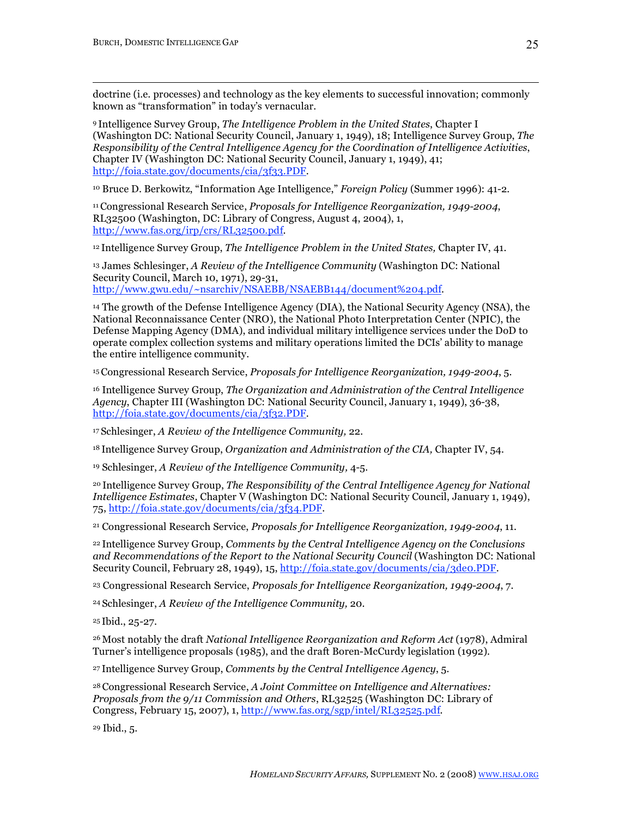doctrine (i.e. processes) and technology as the key elements to successful innovation; commonly known as "transformation" in today's vernacular.

<sup>9</sup> Intelligence Survey Group, *The Intelligence Problem in the United States*, Chapter I (Washington DC: National Security Council, January 1, 1949), 18; Intelligence Survey Group, *The Responsibility of the Central Intelligence Agency for the Coordination of Intelligence Activities*, Chapter IV (Washington DC: National Security Council, January 1, 1949), 41; http://foia.state.gov/documents/cia/3f33.PDF.

10 Bruce D. Berkowitz, "Information Age Intelligence," *Foreign Policy* (Summer 1996): 41-2.

11Congressional Research Service, *Proposals for Intelligence Reorganization, 1949-2004*, RL32500 (Washington, DC: Library of Congress, August 4, 2004), 1, http://www.fas.org/irp/crs/RL32500.pdf.

<sup>12</sup> Intelligence Survey Group, *The Intelligence Problem in the United States,* Chapter IV, 41.

13 James Schlesinger, *A Review of the Intelligence Community* (Washington DC: National Security Council, March 10, 1971), 29-31, http://www.gwu.edu/~nsarchiv/NSAEBB/NSAEBB144/document%204.pdf.

14 The growth of the Defense Intelligence Agency (DIA), the National Security Agency (NSA), the National Reconnaissance Center (NRO), the National Photo Interpretation Center (NPIC), the Defense Mapping Agency (DMA), and individual military intelligence services under the DoD to operate complex collection systems and military operations limited the DCIs' ability to manage the entire intelligence community.

<sup>15</sup> Congressional Research Service, *Proposals for Intelligence Reorganization, 1949-2004*, 5.

16 Intelligence Survey Group, *The Organization and Administration of the Central Intelligence Agency*, Chapter III (Washington DC: National Security Council, January 1, 1949), 36-38, http://foia.state.gov/documents/cia/3f32.PDF.

<sup>17</sup> Schlesinger, *A Review of the Intelligence Community,* 22.

<sup>18</sup> Intelligence Survey Group, *Organization and Administration of the CIA,* Chapter IV, 54.

19 Schlesinger, *A Review of the Intelligence Community,* 4-5.

<sup>20</sup> Intelligence Survey Group, *The Responsibility of the Central Intelligence Agency for National Intelligence Estimates*, Chapter V (Washington DC: National Security Council, January 1, 1949), 75, http://foia.state.gov/documents/cia/3f34.PDF.

21 Congressional Research Service, *Proposals for Intelligence Reorganization, 1949-2004*, 11.

<sup>22</sup> Intelligence Survey Group, *Comments by the Central Intelligence Agency on the Conclusions and Recommendations of the Report to the National Security Council* (Washington DC: National Security Council, February 28, 1949), 15, http://foia.state.gov/documents/cia/3de0.PDF.

23 Congressional Research Service, *Proposals for Intelligence Reorganization, 1949-2004*, 7.

<sup>24</sup> Schlesinger, *A Review of the Intelligence Community,* 20.

<sup>25</sup> Ibid., 25-27.

<sup>26</sup> Most notably the draft *National Intelligence Reorganization and Reform Act* (1978), Admiral Turner's intelligence proposals (1985), and the draft Boren-McCurdy legislation (1992).

<sup>27</sup> Intelligence Survey Group, *Comments by the Central Intelligence Agency*, 5.

<sup>28</sup> Congressional Research Service, *A Joint Committee on Intelligence and Alternatives: Proposals from the 9/11 Commission and Others*, RL32525 (Washington DC: Library of Congress, February 15, 2007), 1, http://www.fas.org/sgp/intel/RL32525.pdf.

29 Ibid., 5.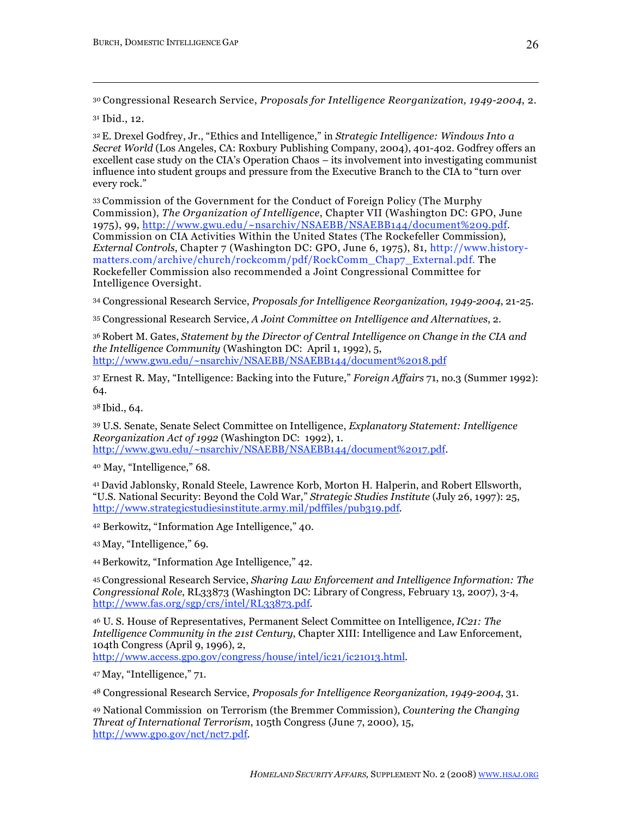<sup>30</sup> Congressional Research Service, *Proposals for Intelligence Reorganization, 1949-2004*, 2.

31 Ibid., 12.

 $\overline{a}$ 

<sup>32</sup> E. Drexel Godfrey, Jr., "Ethics and Intelligence," in *Strategic Intelligence: Windows Into a Secret World* (Los Angeles, CA: Roxbury Publishing Company, 2004), 401-402. Godfrey offers an excellent case study on the CIA's Operation Chaos – its involvement into investigating communist influence into student groups and pressure from the Executive Branch to the CIA to "turn over every rock."

<sup>33</sup> Commission of the Government for the Conduct of Foreign Policy (The Murphy Commission), *The Organization of Intelligence*, Chapter VII (Washington DC: GPO, June 1975), 99, http://www.gwu.edu/~nsarchiv/NSAEBB/NSAEBB144/document%209.pdf. Commission on CIA Activities Within the United States (The Rockefeller Commission), *External Controls*, Chapter 7 (Washington DC: GPO, June 6, 1975), 81, http://www.historymatters.com/archive/church/rockcomm/pdf/RockComm\_Chap7\_External.pdf. The Rockefeller Commission also recommended a Joint Congressional Committee for Intelligence Oversight.

34 Congressional Research Service, *Proposals for Intelligence Reorganization, 1949-2004*, 21-25.

35 Congressional Research Service, *A Joint Committee on Intelligence and Alternatives*, 2.

<sup>36</sup> Robert M. Gates, *Statement by the Director of Central Intelligence on Change in the CIA and the Intelligence Community* (Washington DC: April 1, 1992), 5, http://www.gwu.edu/~nsarchiv/NSAEBB/NSAEBB144/document%2018.pdf

37 Ernest R. May, "Intelligence: Backing into the Future," *Foreign Affairs* 71, no.3 (Summer 1992): 64.

<sup>38</sup> Ibid., 64.

39 U.S. Senate, Senate Select Committee on Intelligence, *Explanatory Statement: Intelligence Reorganization Act of 1992* (Washington DC: 1992), 1. http://www.gwu.edu/~nsarchiv/NSAEBB/NSAEBB144/document%2017.pdf.

40 May, "Intelligence," 68.

<sup>41</sup> David Jablonsky, Ronald Steele, Lawrence Korb, Morton H. Halperin, and Robert Ellsworth, "U.S. National Security: Beyond the Cold War," *Strategic Studies Institute* (July 26, 1997): 25, http://www.strategicstudiesinstitute.army.mil/pdffiles/pub319.pdf.

42 Berkowitz, "Information Age Intelligence," 40.

<sup>43</sup> May, "Intelligence," 69.

<sup>44</sup> Berkowitz, "Information Age Intelligence," 42.

<sup>45</sup> Congressional Research Service, *Sharing Law Enforcement and Intelligence Information: The Congressional Role*, RL33873 (Washington DC: Library of Congress, February 13, 2007), 3-4, http://www.fas.org/sgp/crs/intel/RL33873.pdf.

<sup>46</sup> U. S. House of Representatives, Permanent Select Committee on Intelligence, *IC21: The Intelligence Community in the 21st Century*, Chapter XIII: Intelligence and Law Enforcement, 104th Congress (April 9, 1996), 2,

http://www.access.gpo.gov/congress/house/intel/ic21/ic21013.html.

<sup>47</sup> May, "Intelligence," 71.

48 Congressional Research Service, *Proposals for Intelligence Reorganization, 1949-2004*, 31.

49 National Commission on Terrorism (the Bremmer Commission), *Countering the Changing Threat of International Terrorism*, 105th Congress (June 7, 2000), 15, http://www.gpo.gov/nct/nct7.pdf.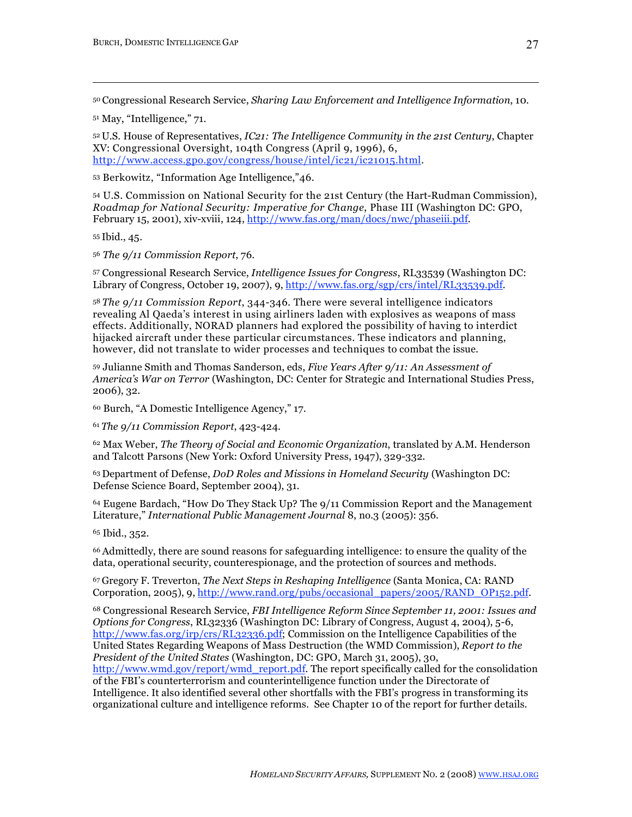<sup>50</sup> Congressional Research Service, *Sharing Law Enforcement and Intelligence Information*, 10.

51 May, "Intelligence," 71.

<sup>52</sup> U.S. House of Representatives, *IC21: The Intelligence Community in the 21st Century*, Chapter XV: Congressional Oversight, 104th Congress (April 9, 1996), 6, http://www.access.gpo.gov/congress/house/intel/ic21/ic21015.html.

53 Berkowitz, "Information Age Intelligence,"46.

54 U.S. Commission on National Security for the 21st Century (the Hart-Rudman Commission), *Roadmap for National Security: Imperative for Change*, Phase III (Washington DC: GPO, February 15, 2001), xiv-xviii, 124, http://www.fas.org/man/docs/nwc/phaseiii.pdf.

<sup>55</sup> Ibid., 45.

 $\overline{a}$ 

<sup>56</sup> *The 9/11 Commission Report*, 76.

57 Congressional Research Service, *Intelligence Issues for Congress*, RL33539 (Washington DC: Library of Congress, October 19, 2007), 9, http://www.fas.org/sgp/crs/intel/RL33539.pdf.

<sup>58</sup> *The 9/11 Commission Report*, 344-346. There were several intelligence indicators revealing Al Qaeda's interest in using airliners laden with explosives as weapons of mass effects. Additionally, NORAD planners had explored the possibility of having to interdict hijacked aircraft under these particular circumstances. These indicators and planning, however, did not translate to wider processes and techniques to combat the issue.

59 Julianne Smith and Thomas Sanderson, eds, *Five Years After 9/11: An Assessment of America's War on Terror* (Washington, DC: Center for Strategic and International Studies Press, 2006), 32.

60 Burch, "A Domestic Intelligence Agency," 17.

<sup>61</sup> *The 9/11 Commission Report*, 423-424.

62 Max Weber, *The Theory of Social and Economic Organization*, translated by A.M. Henderson and Talcott Parsons (New York: Oxford University Press, 1947), 329-332.

<sup>63</sup> Department of Defense, *DoD Roles and Missions in Homeland Security* (Washington DC: Defense Science Board, September 2004), 31.

64 Eugene Bardach, "How Do They Stack Up? The 9/11 Commission Report and the Management Literature," *International Public Management Journal* 8, no.3 (2005): 356.

65 Ibid., 352.

<sup>66</sup> Admittedly, there are sound reasons for safeguarding intelligence: to ensure the quality of the data, operational security, counterespionage, and the protection of sources and methods.

<sup>67</sup> Gregory F. Treverton, *The Next Steps in Reshaping Intelligence* (Santa Monica, CA: RAND Corporation, 2005), 9, http://www.rand.org/pubs/occasional\_papers/2005/RAND\_OP152.pdf.

68 Congressional Research Service, *FBI Intelligence Reform Since September 11, 2001: Issues and Options for Congress*, RL32336 (Washington DC: Library of Congress, August 4, 2004), 5-6, http://www.fas.org/irp/crs/RL32336.pdf; Commission on the Intelligence Capabilities of the United States Regarding Weapons of Mass Destruction (the WMD Commission), *Report to the President of the United States* (Washington, DC: GPO, March 31, 2005), 30, http://www.wmd.gov/report/wmd\_report.pdf. The report specifically called for the consolidation of the FBI's counterterrorism and counterintelligence function under the Directorate of Intelligence. It also identified several other shortfalls with the FBI's progress in transforming its organizational culture and intelligence reforms. See Chapter 10 of the report for further details.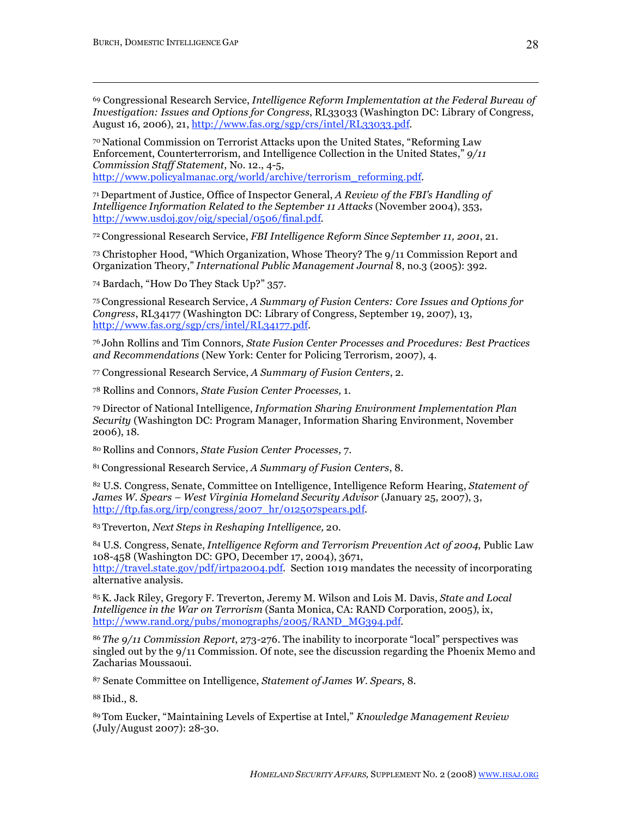69 Congressional Research Service, *Intelligence Reform Implementation at the Federal Bureau of Investigation: Issues and Options for Congress*, RL33033 (Washington DC: Library of Congress, August 16, 2006), 21, http://www.fas.org/sgp/crs/intel/RL33033.pdf.

<sup>70</sup> National Commission on Terrorist Attacks upon the United States, "Reforming Law Enforcement, Counterterrorism, and Intelligence Collection in the United States," *9/11 Commission Staff Statement*, No. 12., 4-5, http://www.policyalmanac.org/world/archive/terrorism\_reforming.pdf.

<sup>71</sup> Department of Justice, Office of Inspector General, *A Review of the FBI's Handling of Intelligence Information Related to the September 11 Attacks* (November 2004), 353, http://www.usdoj.gov/oig/special/0506/final.pdf.

<sup>72</sup> Congressional Research Service, *FBI Intelligence Reform Since September 11, 2001*, 21.

73 Christopher Hood, "Which Organization, Whose Theory? The 9/11 Commission Report and Organization Theory," *International Public Management Journal* 8, no.3 (2005): 392.

74 Bardach, "How Do They Stack Up?" 357.

<sup>75</sup> Congressional Research Service, *A Summary of Fusion Centers: Core Issues and Options for Congress*, RL34177 (Washington DC: Library of Congress, September 19, 2007), 13, http://www.fas.org/sgp/crs/intel/RL34177.pdf.

<sup>76</sup> John Rollins and Tim Connors, *State Fusion Center Processes and Procedures: Best Practices and Recommendations* (New York: Center for Policing Terrorism, 2007), 4.

77 Congressional Research Service, *A Summary of Fusion Centers*, 2.

78 Rollins and Connors, *State Fusion Center Processes,* 1.

79 Director of National Intelligence, *Information Sharing Environment Implementation Plan Security* (Washington DC: Program Manager, Information Sharing Environment, November 2006), 18.

<sup>80</sup> Rollins and Connors, *State Fusion Center Processes,* 7.

<sup>81</sup> Congressional Research Service, *A Summary of Fusion Centers*, 8.

82 U.S. Congress, Senate, Committee on Intelligence, Intelligence Reform Hearing, *Statement of James W. Spears – West Virginia Homeland Security Advisor* (January 25, 2007), 3, http://ftp.fas.org/irp/congress/2007\_hr/012507spears.pdf.

<sup>83</sup> Treverton, *Next Steps in Reshaping Intelligence,* 20.

84 U.S. Congress, Senate, *Intelligence Reform and Terrorism Prevention Act of 2004*, Public Law 108-458 (Washington DC: GPO, December 17, 2004), 3671, http://travel.state.gov/pdf/irtpa2004.pdf. Section 1019 mandates the necessity of incorporating alternative analysis.

85K. Jack Riley, Gregory F. Treverton, Jeremy M. Wilson and Lois M. Davis, *State and Local Intelligence in the War on Terrorism* (Santa Monica, CA: RAND Corporation, 2005), ix, http://www.rand.org/pubs/monographs/2005/RAND\_MG394.pdf.

<sup>86</sup> *The 9/11 Commission Report*, 273-276. The inability to incorporate "local" perspectives was singled out by the 9/11 Commission. Of note, see the discussion regarding the Phoenix Memo and Zacharias Moussaoui.

87 Senate Committee on Intelligence, *Statement of James W. Spears*, 8.

<sup>88</sup> Ibid., 8.

<sup>89</sup> Tom Eucker, "Maintaining Levels of Expertise at Intel," *Knowledge Management Review* (July/August 2007): 28-30.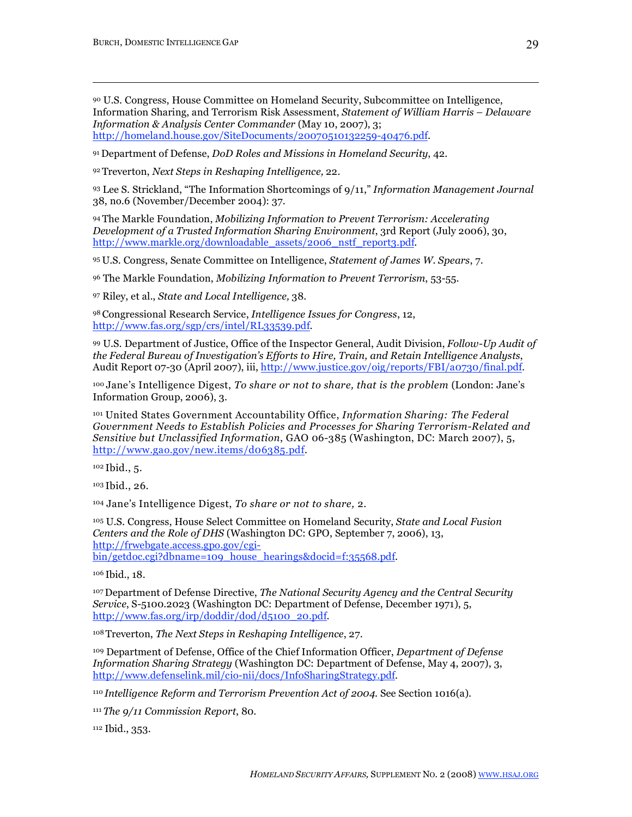90 U.S. Congress, House Committee on Homeland Security, Subcommittee on Intelligence, Information Sharing, and Terrorism Risk Assessment, *Statement of William Harris – Delaware Information & Analysis Center Commander* (May 10, 2007), 3; http://homeland.house.gov/SiteDocuments/20070510132259-40476.pdf.

<sup>91</sup> Department of Defense, *DoD Roles and Missions in Homeland Security*, 42.

<sup>92</sup> Treverton, *Next Steps in Reshaping Intelligence,* 22.

93 Lee S. Strickland, "The Information Shortcomings of 9/11," *Information Management Journal* 38, no.6 (November/December 2004): 37.

<sup>94</sup> The Markle Foundation, *Mobilizing Information to Prevent Terrorism: Accelerating Development of a Trusted Information Sharing Environment*, 3rd Report (July 2006), 30, http://www.markle.org/downloadable\_assets/2006\_nstf\_report3.pdf.

<sup>95</sup> U.S. Congress, Senate Committee on Intelligence, *Statement of James W. Spears*, 7.

96 The Markle Foundation, *Mobilizing Information to Prevent Terrorism*, 53-55.

97 Riley, et al., *State and Local Intelligence,* 38.

<sup>98</sup> Congressional Research Service, *Intelligence Issues for Congress*, 12, http://www.fas.org/sgp/crs/intel/RL33539.pdf.

99 U.S. Department of Justice, Office of the Inspector General, Audit Division, *Follow-Up Audit of the Federal Bureau of Investigation's Efforts to Hire, Train, and Retain Intelligence Analysts*, Audit Report 07-30 (April 2007), iii, http://www.justice.gov/oig/reports/FBI/a0730/final.pdf.

<sup>100</sup> Jane's Intelligence Digest, *To share or not to share, that is the problem* (London: Jane's Information Group, 2006), 3.

101 United States Government Accountability Office, *Information Sharing: The Federal Government Needs to Establish Policies and Processes for Sharing Terrorism-Related and Sensitive but Unclassified Information*, GAO 06-385 (Washington, DC: March 2007), 5, http://www.gao.gov/new.items/d06385.pdf.

<sup>102</sup> Ibid., 5.

<sup>103</sup> Ibid., 26.

104 Jane's Intelligence Digest, *To share or not to share,* 2.

105 U.S. Congress, House Select Committee on Homeland Security, *State and Local Fusion Centers and the Role of DHS* (Washington DC: GPO, September 7, 2006), 13, http://frwebgate.access.gpo.gov/cgibin/getdoc.cgi?dbname=109\_house\_hearings&docid=f:35568.pdf.

<sup>106</sup> Ibid., 18.

<sup>107</sup> Department of Defense Directive, *The National Security Agency and the Central Security Service*, S-5100.2023 (Washington DC: Department of Defense, December 1971), 5, http://www.fas.org/irp/doddir/dod/d5100\_20.pdf.

108Treverton, *The Next Steps in Reshaping Intelligence*, 27.

109 Department of Defense, Office of the Chief Information Officer, *Department of Defense Information Sharing Strategy* (Washington DC: Department of Defense, May 4, 2007), 3, http://www.defenselink.mil/cio-nii/docs/InfoSharingStrategy.pdf.

<sup>110</sup> *Intelligence Reform and Terrorism Prevention Act of 2004*. See Section 1016(a).

<sup>111</sup> *The 9/11 Commission Report*, 80.

112 Ibid., 353.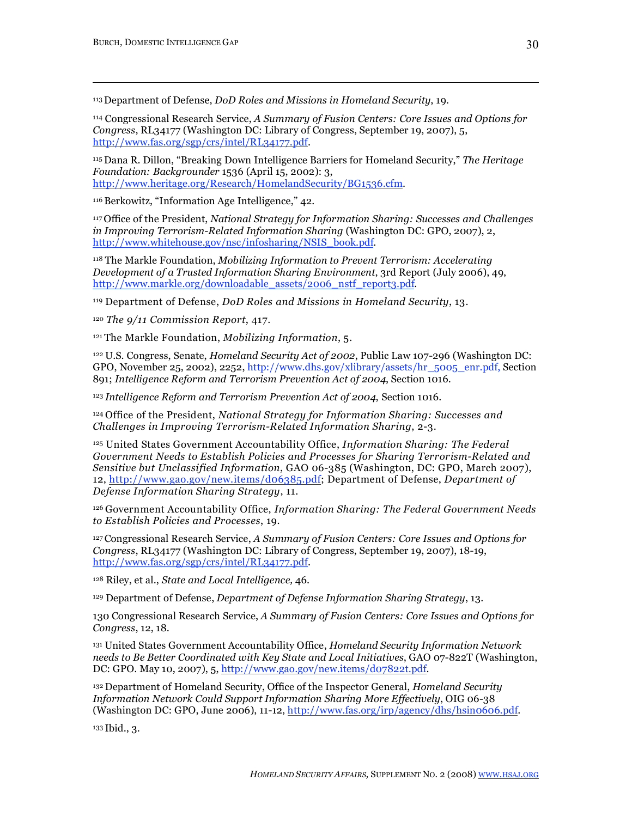113Department of Defense, *DoD Roles and Missions in Homeland Security*, 19.

114 Congressional Research Service, *A Summary of Fusion Centers: Core Issues and Options for Congress*, RL34177 (Washington DC: Library of Congress, September 19, 2007), 5, http://www.fas.org/sgp/crs/intel/RL34177.pdf.

<sup>115</sup> Dana R. Dillon, "Breaking Down Intelligence Barriers for Homeland Security," *The Heritage Foundation: Backgrounder* 1536 (April 15, 2002): 3, http://www.heritage.org/Research/HomelandSecurity/BG1536.cfm.

<sup>116</sup> Berkowitz, "Information Age Intelligence," 42.

<sup>117</sup> Office of the President, *National Strategy for Information Sharing: Successes and Challenges in Improving Terrorism-Related Information Sharing* (Washington DC: GPO, 2007), 2, http://www.whitehouse.gov/nsc/infosharing/NSIS\_book.pdf.

118 The Markle Foundation, *Mobilizing Information to Prevent Terrorism: Accelerating Development of a Trusted Information Sharing Environment*, 3rd Report (July 2006), 49, http://www.markle.org/downloadable\_assets/2006\_nstf\_report3.pdf.

119 Department of Defense, *DoD Roles and Missions in Homeland Security*, 13.

<sup>120</sup> *The 9/11 Commission Report*, 417.

<sup>121</sup> The Markle Foundation, *Mobilizing Information*, 5.

<sup>122</sup> U.S. Congress, Senate, *Homeland Security Act of 2002*, Public Law 107-296 (Washington DC: GPO, November 25, 2002), 2252, http://www.dhs.gov/xlibrary/assets/hr\_5005\_enr.pdf, Section 891; *Intelligence Reform and Terrorism Prevention Act of 2004*, Section 1016.

<sup>123</sup> *Intelligence Reform and Terrorism Prevention Act of 2004*, Section 1016.

<sup>124</sup> Office of the President, *National Strategy for Information Sharing: Successes and Challenges in Improving Terrorism-Related Information Sharing*, 2-3.

125 United States Government Accountability Office, *Information Sharing: The Federal Government Needs to Establish Policies and Processes for Sharing Terrorism-Related and Sensitive but Unclassified Information*, GAO 06-385 (Washington, DC: GPO, March 2007), 12, http://www.gao.gov/new.items/d06385.pdf; Department of Defense, *Department of Defense Information Sharing Strategy*, 11.

<sup>126</sup> Government Accountability Office, *Information Sharing: The Federal Government Needs to Establish Policies and Processes*, 19.

127Congressional Research Service, *A Summary of Fusion Centers: Core Issues and Options for Congress*, RL34177 (Washington DC: Library of Congress, September 19, 2007), 18-19, http://www.fas.org/sgp/crs/intel/RL34177.pdf.

128 Riley, et al., *State and Local Intelligence,* 46.

129 Department of Defense, *Department of Defense Information Sharing Strategy*, 13.

130 Congressional Research Service, *A Summary of Fusion Centers: Core Issues and Options for Congress*, 12, 18.

131 United States Government Accountability Office, *Homeland Security Information Network needs to Be Better Coordinated with Key State and Local Initiatives*, GAO 07-822T (Washington, DC: GPO. May 10, 2007), 5, http://www.gao.gov/new.items/d07822t.pdf.

<sup>132</sup> Department of Homeland Security, Office of the Inspector General, *Homeland Security Information Network Could Support Information Sharing More Effectively*, OIG 06-38 (Washington DC: GPO, June 2006), 11-12, http://www.fas.org/irp/agency/dhs/hsin0606.pdf.

<sup>133</sup> Ibid., 3.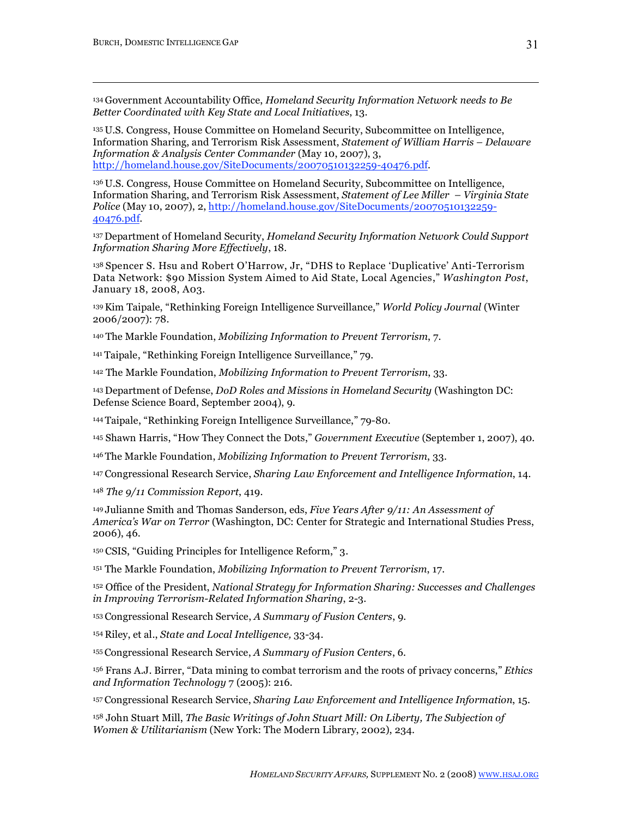<sup>134</sup> Government Accountability Office, *Homeland Security Information Network needs to Be Better Coordinated with Key State and Local Initiatives*, 13.

<sup>135</sup> U.S. Congress, House Committee on Homeland Security, Subcommittee on Intelligence, Information Sharing, and Terrorism Risk Assessment, *Statement of William Harris – Delaware Information & Analysis Center Commander* (May 10, 2007), 3, http://homeland.house.gov/SiteDocuments/20070510132259-40476.pdf.

<sup>136</sup> U.S. Congress, House Committee on Homeland Security, Subcommittee on Intelligence, Information Sharing, and Terrorism Risk Assessment, *Statement of Lee Miller – Virginia State Police* (May 10, 2007), 2, http://homeland.house.gov/SiteDocuments/20070510132259- 40476.pdf.

<sup>137</sup> Department of Homeland Security, *Homeland Security Information Network Could Support Information Sharing More Effectively*, 18.

<sup>138</sup> Spencer S. Hsu and Robert O'Harrow, Jr, "DHS to Replace 'Duplicative' Anti-Terrorism Data Network: \$90 Mission System Aimed to Aid State, Local Agencies," *Washington Post*, January 18, 2008, A03.

139Kim Taipale, "Rethinking Foreign Intelligence Surveillance," *World Policy Journal* (Winter 2006/2007): 78.

<sup>140</sup> The Markle Foundation, *Mobilizing Information to Prevent Terrorism*, 7.

<sup>141</sup> Taipale, "Rethinking Foreign Intelligence Surveillance," 79.

142 The Markle Foundation, *Mobilizing Information to Prevent Terrorism*, 33.

<sup>143</sup> Department of Defense, *DoD Roles and Missions in Homeland Security* (Washington DC: Defense Science Board, September 2004), 9.

<sup>144</sup> Taipale, "Rethinking Foreign Intelligence Surveillance," 79-80.

145 Shawn Harris, "How They Connect the Dots," *Government Executive* (September 1, 2007), 40.

<sup>146</sup> The Markle Foundation, *Mobilizing Information to Prevent Terrorism*, 33.

<sup>147</sup> Congressional Research Service, *Sharing Law Enforcement and Intelligence Information*, 14.

<sup>148</sup> *The 9/11 Commission Report*, 419.

<sup>149</sup> Julianne Smith and Thomas Sanderson, eds, *Five Years After 9/11: An Assessment of America's War on Terror* (Washington, DC: Center for Strategic and International Studies Press, 2006), 46.

<sup>150</sup> CSIS, "Guiding Principles for Intelligence Reform," 3.

151 The Markle Foundation, *Mobilizing Information to Prevent Terrorism*, 17.

152 Office of the President, *National Strategy for Information Sharing: Successes and Challenges in Improving Terrorism-Related Information Sharing*, 2-3.

<sup>153</sup> Congressional Research Service, *A Summary of Fusion Centers*, 9.

<sup>154</sup> Riley, et al., *State and Local Intelligence,* 33-34.

<sup>155</sup> Congressional Research Service, *A Summary of Fusion Centers*, 6.

156 Frans A.J. Birrer, "Data mining to combat terrorism and the roots of privacy concerns," *Ethics and Information Technology* 7 (2005): 216.

<sup>157</sup> Congressional Research Service, *Sharing Law Enforcement and Intelligence Information*, 15.

158 John Stuart Mill, *The Basic Writings of John Stuart Mill: On Liberty, The Subjection of Women & Utilitarianism* (New York: The Modern Library, 2002), 234.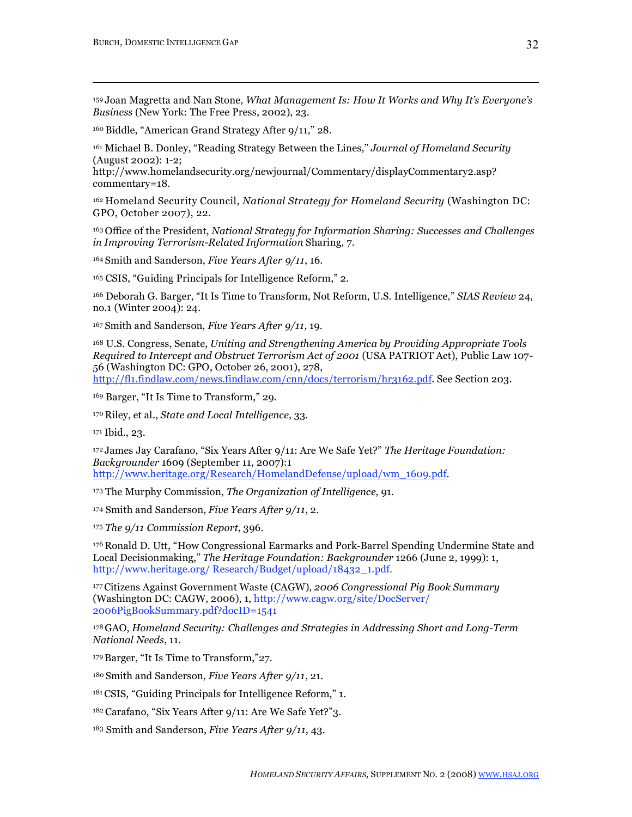<sup>159</sup> Joan Magretta and Nan Stone, *What Management Is: How It Works and Why It's Everyone's Business* (New York: The Free Press, 2002), 23.

<sup>160</sup> Biddle, "American Grand Strategy After 9/11," 28.

161 Michael B. Donley, "Reading Strategy Between the Lines," *Journal of Homeland Security* (August 2002): 1-2;

http://www.homelandsecurity.org/newjournal/Commentary/displayCommentary2.asp? commentary=18.

<sup>162</sup> Homeland Security Council, *National Strategy for Homeland Security* (Washington DC: GPO, October 2007), 22.

<sup>163</sup> Office of the President, *National Strategy for Information Sharing: Successes and Challenges in Improving Terrorism-Related Information* Sharing, 7.

<sup>164</sup> Smith and Sanderson, *Five Years After 9/11*, 16.

165 CSIS, "Guiding Principals for Intelligence Reform," 2.

166 Deborah G. Barger, "It Is Time to Transform, Not Reform, U.S. Intelligence," *SIAS Review* 24, no.1 (Winter 2004): 24.

<sup>167</sup> Smith and Sanderson, *Five Years After 9/11,* 19.

168 U.S. Congress, Senate, *Uniting and Strengthening America by Providing Appropriate Tools Required to Intercept and Obstruct Terrorism Act of 2001* (USA PATRIOT Act), Public Law 107- 56 (Washington DC: GPO, October 26, 2001), 278, http://fl1.findlaw.com/news.findlaw.com/cnn/docs/terrorism/hr3162.pdf. See Section 203.

169 Barger, "It Is Time to Transform," 29.

<sup>170</sup> Riley, et al., *State and Local Intelligence,* 33.

171 Ibid., 23.

<sup>172</sup> James Jay Carafano, "Six Years After 9/11: Are We Safe Yet?" *The Heritage Foundation: Backgrounder* 1609 (September 11, 2007):1 http://www.heritage.org/Research/HomelandDefense/upload/wm\_1609.pdf.

173 The Murphy Commission, *The Organization of Intelligence,* 91.

174 Smith and Sanderson, *Five Years After 9/11*, 2.

<sup>175</sup> *The 9/11 Commission Report*, 396.

<sup>176</sup> Ronald D. Utt, "How Congressional Earmarks and Pork-Barrel Spending Undermine State and Local Decisionmaking," *The Heritage Foundation: Backgrounder* 1266 (June 2, 1999): 1, http://www.heritage.org/Research/Budget/upload/18432\_1.pdf.

177Citizens Against Government Waste (CAGW), *2006 Congressional Pig Book Summary* (Washington DC: CAGW, 2006), 1, http://www.cagw.org/site/DocServer/ 2006PigBookSummary.pdf?docID=1541

178GAO, *Homeland Security: Challenges and Strategies in Addressing Short and Long-Term National Needs*, 11.

<sup>179</sup> Barger, "It Is Time to Transform,"27.

<sup>180</sup> Smith and Sanderson, *Five Years After 9/11*, 21.

181CSIS, "Guiding Principals for Intelligence Reform," 1.

<sup>182</sup> Carafano, "Six Years After 9/11: Are We Safe Yet?"3.

183 Smith and Sanderson, *Five Years After 9/11*, 43.